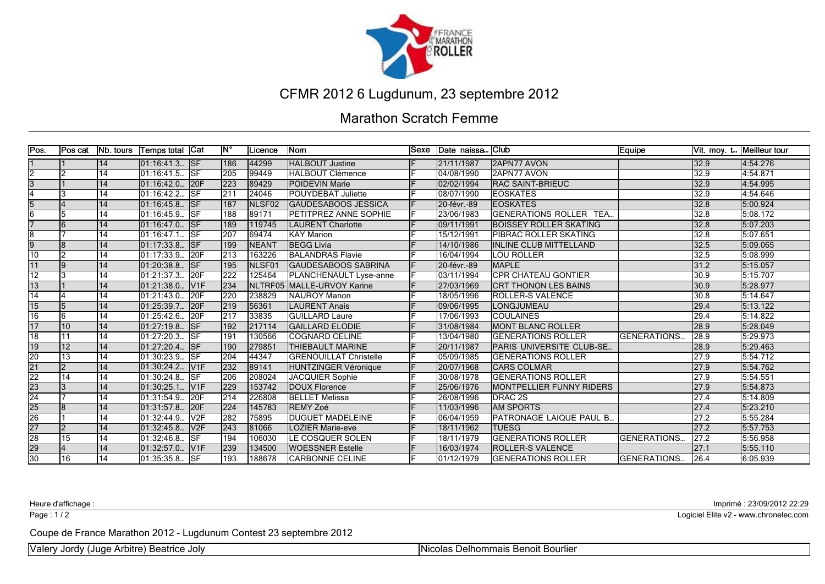

#### Marathon Scratch Femme

| Pos.            | <b>Pos cat</b> | <b>Nb.</b> tours | Temps total Cat |                         | lM° | Licence            | <b>Nom</b>                    | <b>Sexe</b> | Date naissa Club    |                                 | Equipe              |               | Vit. moy. t Meilleur tour |
|-----------------|----------------|------------------|-----------------|-------------------------|-----|--------------------|-------------------------------|-------------|---------------------|---------------------------------|---------------------|---------------|---------------------------|
|                 |                | 14               | $01:16:41.3$ SF |                         | 186 | 44299              | <b>HALBOUT Justine</b>        |             | 21/11/1987          | <b>2APN77 AVON</b>              |                     | 32.9          | 4:54.276                  |
| $\overline{2}$  | Iゥ             | $\overline{14}$  | 01:16:41.5      | <b>ISF</b>              | 205 | 99449              | <b>HALBOUT Clémence</b>       |             | 04/08/1990          | 2APN77 AVON                     |                     | 32.9          | 4:54.871                  |
| 3               |                | 14               | 01:16:42.0.     | 20F                     | 223 | 89429              | <b>POIDEVIN Marie</b>         |             | 02/02/1994          | <b>IRAC SAINT-BRIEUC</b>        |                     | 32.9          | 4:54.995                  |
| 4               |                | 14               | 01:16:42.2      | <b>ISF</b>              | 211 | 24046              | <b>POUYDEBAT Juliette</b>     |             | 08/07/1990          | <b>EOSKATES</b>                 |                     | 32.9          | 4:54.646                  |
| $\overline{5}$  |                | 14               | 01:16:45.8      | <b>ISF</b>              | 187 | NLSF <sub>02</sub> | <b>GAUDESABOOS JESSICA</b>    |             | 20-févr.-89         | <b>EOSKATES</b>                 |                     | 32.8          | 5:00.924                  |
| <sup>6</sup>    |                | 14               | 01:16:45.9      | $\overline{\text{lsF}}$ | 188 | 89171              | <b>PETITPREZ ANNE SOPHIE</b>  |             | 23/06/1983          | <b>GENERATIONS ROLLER TEA</b>   |                     | 32.8          | 5:08.172                  |
|                 |                | 14               | 01:16:47.0      | <b>ISF</b>              | 189 | 119745             | LAURENT Charlotte             |             | 09/11/1991          | <b>BOISSEY ROLLER SKATING</b>   |                     | 32.8          | 5:07.203                  |
| ह               |                | 14               | 01:16:47.1      | <b>ISF</b>              | 207 | 69474              | <b>KAY Marion</b>             |             | 15/12/1991          | PIBRAC ROLLER SKATING           |                     | 32.8          | 5:07.651                  |
| $\overline{9}$  | l8             | 14               | 01:17:33.8.     | SF                      | 199 | <b>NEANT</b>       | <b>BEGG Livia</b>             |             | 14/10/1986          | IINLINE CLUB MITTELLAND         |                     | 32.5          | 5:09.065                  |
| 10              | l2             | 14               | 01:17:33.9.     | 20F                     | 213 | 163226             | <b>BALANDRAS Flavie</b>       |             | 16/04/1994          | <b>LOU ROLLER</b>               |                     | 32.5          | 5:08.999                  |
| 11              | l9             | 14               | 01:20:38.8.     | <b>ISF</b>              | 195 | NLSF01             | <b>GAUDESABOOS SABRINA</b>    |             | 20-févr.-89         | <b>MAPLE</b>                    |                     | 31.2          | 5:15.057                  |
| $\overline{12}$ | 3              | 14               | 01:21:37.3.     | 20F                     | 222 | 125464             | <b>PLANCHENAULT Lyse-anne</b> |             | 03/11/1994          | ICPR CHATEAU GONTIER            |                     | 30.9          | 5:15.707                  |
| 13              |                | 14               | 01:21:38.0.     | V1F                     | 234 | NLTRF05            | MALLE-URVOY Karine            |             | 27/03/1969          | <b>CRT THONON LES BAINS</b>     |                     | 30.9          | 5:28.977                  |
| 14              |                | 14               | 01:21:43.0.     | 20F                     | 220 | 238829             | NAUROY Manon                  |             | 18/05/1996          | <b>ROLLER-S VALENCE</b>         |                     | 30.8          | 5:14.647                  |
| 15              |                | 14               | 01:25:39.7.     | 20F                     | 219 | 56361              | <b>ILAURENT Anais</b>         |             | 09/06/1995          | LONGJUMEAU                      |                     | 29.4          | 5:13.122                  |
| 16              | l6             | 14               | 01:25:42.6.     | <b>20F</b>              | 217 | 33835              | <b>GUILLARD Laure</b>         |             | 17/06/1993          | <b>COULAINES</b>                |                     | 29.4          | 5:14.822                  |
| 17              | 10             | 14               | 01:27:19.8      | <b>SF</b>               | 192 | 217114             | <b>IGAILLARD ELODIE</b>       |             | 31/08/1984          | <b>MONT BLANC ROLLER</b>        |                     | 28.9          | 5:28.049                  |
| 18              | 11             | 14               | 01:27:20.3.     | <b>ISF</b>              | 191 | 130566             | <b>COGNARD CELINE</b>         |             | 13/04/1980          | <b>GENERATIONS ROLLER</b>       | <b>GENERATIONS.</b> | 28.9          | 5:29.973                  |
| $\overline{19}$ | 12             | 14               | 01:27:20.4.     | <b>ISF</b>              | 190 | 279851             | <b>THIEBAULT MARINE</b>       |             | 20/11/1987          | PARIS UNIVERSITE CLUB-SE        |                     | 28.9          | 5:29.463                  |
| $\overline{20}$ | 13             | 14               | 01:30:23.9.     | <b>ISF</b>              | 204 | 44347              | <b>GRENOUILLAT Christelle</b> |             | 05/09/1985          | <b>GENERATIONS ROLLER</b>       |                     | 27.9          | 5:54.712                  |
| 21              | $\overline{2}$ | 14               | 01:30:24.2      | V1F                     | 232 | 89141              | HUNTZINGER Véronique          |             | 20/07/1968          | <b>CARS COLMAR</b>              |                     | 27.9          | 5:54.762                  |
| $\overline{22}$ | 14             | 14               | 01:30:24.8      | <b>ISF</b>              | 206 | 208024             | JACQUIER Sophie               |             | 30/08/1978          | <b>GENERATIONS ROLLER</b>       |                     | 27.9          | 5:54.551                  |
| $\overline{23}$ | l3             | 14               | 01:30:25.1      | V1F                     | 229 | 153742             | DOUX Florence                 |             | 25/06/1976          | <b>MONTPELLIER FUNNY RIDERS</b> |                     | 27.9          | 5:54.873                  |
| $\overline{24}$ |                | 14               | 01:31:54.9.     | 20F                     | 214 | 226808             | <b>BELLET Melissa</b>         |             | 26/08/1996          | DRAC 2S                         |                     | 27.4          | 5:14.809                  |
| $\overline{25}$ | l8             | 14               | 01:31:57.8      | 20F                     | 224 | 145783             | <b>REMY Zoé</b>               |             | 11/03/1996          | <b>AM SPORTS</b>                |                     | $\sqrt{27.4}$ | 5:23.210                  |
| $\overline{26}$ |                | 14               | 01:32:44.9.     | V <sub>2F</sub>         | 282 | 75895              | <b>DUGUET MADELEINE</b>       |             | 06/04/1959          | IPATRONAGE LAIQUE PAUL B.       |                     | 27.2          | 5:55.284                  |
| 27              | $\overline{2}$ | 14               | 01:32:45.8.     | V2F                     | 243 | 81066              | <b>LOZIER Marie-eve</b>       |             | 18/11/1962          | <b>TUESG</b>                    |                     | 27.2          | 5:57.753                  |
| $\overline{28}$ | 15             | 14               | 01:32:46.8      | SF                      | 194 | 106030             | <b>LE COSQUER SOLEN</b>       |             | 18/11/1979          | <b>GENERATIONS ROLLER</b>       | <b>GENERATIONS</b>  | 27.2          | 5:56.958                  |
| $\frac{29}{30}$ |                | 14               | 01:32:57.0.     | V1F                     | 239 | 134500             | <b>WOESSNER Estelle</b>       |             | 16/03/1974          | <b>ROLLER-S VALENCE</b>         |                     | 127.1         | 5:55.110                  |
|                 | 16             | 14               | 01:35:35.8. SF  |                         | 193 | 188678             | <b>CARBONNE CELINE</b>        |             | $\sqrt{01/12/1979}$ | <b>GENERATIONS ROLLER</b>       | <b>GENERATIONS</b>  | 26.4          | 6:05.939                  |

Page : 1/2

Heure d'affichage : Imprimé : 23/09/2012 22:29

Logiciel Elite v2 - www.chronelec.com

Coupe de France Marathon 2012 - Lugdunum Contest 23 septembre 2012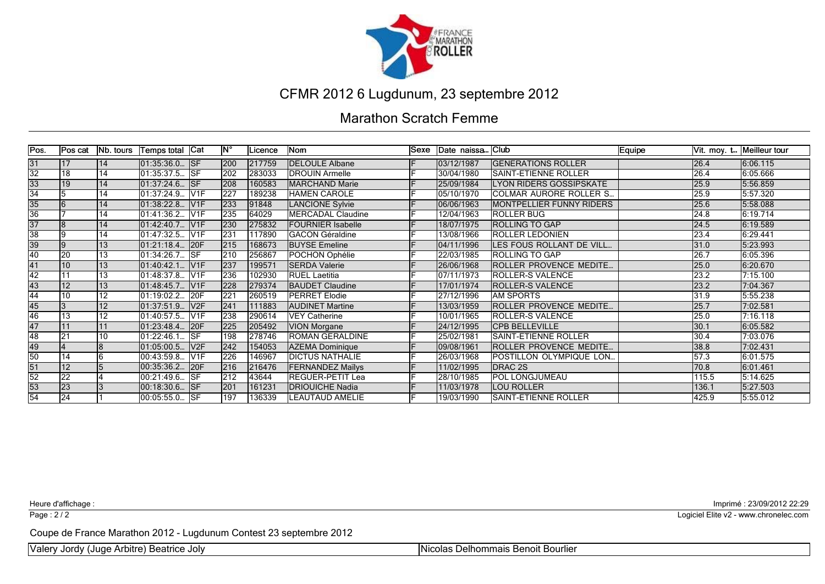

#### Marathon Scratch Femme

| Pos.            | Pos cat         | Nb. tours       | Temps total  Cat |                       | ۱N°        | Licence | Nom                      | lSexe | Date naissa Club |                                  | Equipe |       | Vit. moy. t Meilleur tour |
|-----------------|-----------------|-----------------|------------------|-----------------------|------------|---------|--------------------------|-------|------------------|----------------------------------|--------|-------|---------------------------|
| 31              | l 17            | 14              | 01:35:36.0. SF   |                       | 200        | 217759  | <b>DELOULE Albane</b>    |       | 03/12/1987       | <b>IGENERATIONS ROLLER</b>       |        | 26.4  | 6:06.115                  |
| 32              | 18              | 14              | 01:35:37.5 SF    |                       | 202        | 283033  | <b>DROUIN Armelle</b>    |       | 30/04/1980       | <b>ISAINT-ETIENNE ROLLER</b>     |        | 26.4  | 6:05.666                  |
| 33              | 19              | 14              | 01:37:24.6  SF   |                       | 208        | 160583  | MARCHAND Marie           |       | 25/09/1984       | <b>LYON RIDERS GOSSIPSKATE</b>   |        | 25.9  | 5:56.859                  |
| $\overline{34}$ |                 | 14              | 01:37:24.9.      | <b>V<sub>1F</sub></b> | 227        | 189238  | HAMEN CAROLE             |       | 05/10/1970       | <b>COLMAR AURORE ROLLER S.</b>   |        | 25.9  | 5:57.320                  |
| $\overline{35}$ |                 | 14              | 01:38:22.8.      | V1F                   | 233        | 91848   | LANCIONE Sylvie          |       | 06/06/1963       | <b>IMONTPELLIER FUNNY RIDERS</b> |        | 25.6  | 5:58.088                  |
| 36              |                 | 14              | 01:41:36.2.      | V <sub>1F</sub>       | 235        | 64029   | MERCADAL Claudine        |       | 12/04/1963       | ROLLER BUG                       |        | 24.8  | 6:19.714                  |
| $\overline{37}$ | l8              | 14              | 01:42:40.7.      | V1F                   | 230        | 275832  | <b>FOURNIER Isabelle</b> |       | 18/07/1975       | IROLLING TO GAP                  |        | 24.5  | 6:19.589                  |
| 38              | 19              | 14              | 01:47:32.5.      | <b>N<sub>1F</sub></b> | 231        | 117890  | <b>GACON Géraldine</b>   |       | 13/08/1966       | <b>ROLLER LEDONIEN</b>           |        | 23.4  | 6:29.441                  |
| 39              | Ι9              | 13              | 01:21:18.4  20F  |                       | <b>215</b> | 168673  | <b>BUYSE Emeline</b>     |       | 104/11/1996      | ILES FOUS ROLLANT DE VILL        |        | 31.0  | 5:23.993                  |
| 40              | 20              | 13              | 01:34:26.7 SF    |                       | 210        | 256867  | POCHON Ophélie           |       | 22/03/1985       | <b>ROLLING TO GAP</b>            |        | 26.7  | 6:05.396                  |
| 41              | 10              | 13              | 01:40:42.1.      | IV1F                  | 237        | 199571  | <b>SERDA Valerie</b>     |       | 26/06/1968       | <b>ROLLER PROVENCE MEDITE</b>    |        | 25.0  | 6:20.670                  |
| 42              |                 | $\overline{13}$ | 01:48:37.8       | V1F                   | 236        | 102930  | <b>RUEL Laetitia</b>     |       | 07/11/1973       | <b>ROLLER-S VALENCE</b>          |        | 23.2  | 7:15.100                  |
| 43              | 12              | $\overline{13}$ | 01:48:45.7 V1F   |                       | 228        | 279374  | <b>BAUDET Claudine</b>   |       | 17/01/1974       | <b>ROLLER-S VALENCE</b>          |        | 23.2  | 7:04.367                  |
| 44              | 10              | $\overline{12}$ | 01:19:02.2       | 20F                   | 221        | 260519  | <b>IPERRET Elodie</b>    |       | 27/12/1996       | <b>IAM SPORTS</b>                |        | 31.9  | 5:55.238                  |
| 45              |                 | 12              | 01:37:51.9.      | V2F                   | 241        | 111883  | <b>AUDINET Martine</b>   |       | 13/03/1959       | ROLLER PROVENCE MEDITE           |        | 25.7  | 7:02.581                  |
| 46              | 13              | 12              | 01:40:57.5.      | <b>V<sub>1F</sub></b> | 238        | 290614  | VEY Catherine            |       | 10/01/1965       | <b>ROLLER-S VALENCE</b>          |        | 25.0  | 7:16.118                  |
| 47              | 11              | 11              | 01:23:48.4.      | 20F                   | 225        | 205492  | <b>VION Morgane</b>      |       | 24/12/1995       | <b>CPB BELLEVILLE</b>            |        | 30.1  | 6:05.582                  |
| 48              | 21              | 10              | 01:22:46.1       | <b>ISF</b>            | 198        | 278746  | ROMAN GERALDINE          |       | 25/02/1981       | SAINT-ETIENNE ROLLER             |        | 30.4  | 7:03.076                  |
| 49              |                 | 8               | 01:05:00.5.      | IV <sub>2F</sub>      | 242        | 154053  | AZEMA Dominique          |       | 09/08/1961       | IROLLER PROVENCE MEDITE          |        | 38.8  | 7:02.431                  |
| 50              | 14              |                 | 00:43:59.8.      | IV1F                  | 226        | 146967  | <b>DICTUS NATHALIE</b>   |       | 26/03/1968       | POSTILLON OLYMPIQUE LON          |        | 57.3  | 6:01.575                  |
| 51              | 12              |                 | 00:35:36.2.      | 20F                   | 216        | 216476  | <b>FERNANDEZ Maïlys</b>  |       | 11/02/1995       | DRAC 2S                          |        | 70.8  | 6:01.461                  |
| $\overline{52}$ | 22              |                 | 00:21:49.6 ISF   |                       | 212        | 43644   | REGUER-PETIT Lea         |       | 28/10/1985       | POL LONGJUMEAU                   |        | 115.5 | 5:14.625                  |
| $\overline{53}$ | 23              |                 | 00:18:30.6. SF   |                       | 201        | 161231  | <b>DRIOUICHE Nadia</b>   |       | 11/03/1978       | <b>LOU ROLLER</b>                |        | 136.1 | 5:27.503                  |
| $\overline{54}$ | $\overline{24}$ |                 | 00:05:55.0 SF    |                       | 197        | 136339  | <b>LEAUTAUD AMELIE</b>   |       | 19/03/1990       | <b>SAINT-ETIENNE ROLLER</b>      |        | 425.9 | 5:55.012                  |

Page : 2/2

Heure d'affichage : Imprimé : 23/09/2012 22:29

Logiciel Elite v2 - www.chronelec.com

Coupe de France Marathon 2012 - Lugdunum Contest 23 septembre 2012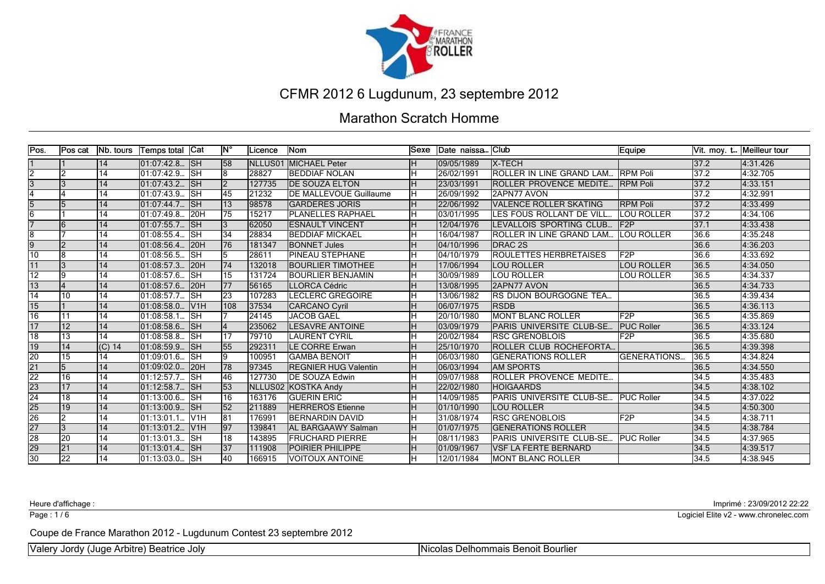

#### Marathon Scratch Homme

| Pos.            | <b>Pos cat</b>  | <b>Nb.</b> tours | ∣Temps total  Cat |                            | ١N°             | Licence          | <b>Nom</b>                     | <b>Sexe</b> | Date naissa Club |                               | Equipe              | IVit. moy. t | Meilleur tour |
|-----------------|-----------------|------------------|-------------------|----------------------------|-----------------|------------------|--------------------------------|-------------|------------------|-------------------------------|---------------------|--------------|---------------|
|                 |                 | 14               | 01:07:42.8  SH    |                            | 58              | <b>I</b> NLLUS01 | <b>IMICHAEL Peter</b>          | Iн          | 09/05/1989       | <b>IX-TECH</b>                |                     | 137.2        | 4:31.426      |
| $\overline{2}$  | l2              | 14               | 01:07:42.9.       | Tsн                        | 8               | 28827            | <b>IBEDDIAF NOLAN</b>          | Ιн          | 26/02/1991       | ROLLER IN LINE GRAND LAM      | <b>RPM Poli</b>     | 37.2         | 4:32.705      |
| 3               |                 | 14               | 01:07:43.2        | <b>ISH</b>                 | $\overline{2}$  | 127735           | <b>IDE SOUZA ELTON</b>         | lн          | 23/03/1991       | ROLLER PROVENCE MEDITE        | <b>IRPM Poli</b>    | 137.2        | 4:33.151      |
|                 |                 | 14               | 01:07:43.9.       | <b>ISH</b>                 | 45              | 21232            | <b>IDE MALLEVOUE Guillaume</b> | Ιн          | 26/09/1992       | 2APN77 AVON                   |                     | 37.2         | 4:32.991      |
| $\overline{5}$  |                 | 14               | 01:07:44.7.       | <b>ISH</b>                 | $\overline{13}$ | 98578            | <b>GARDERES JORIS</b>          | Iн          | 22/06/1992       | VALENCE ROLLER SKATING        | <b>RPM Poli</b>     | 37.2         | 4:33.499      |
| 6               |                 | 14               | 01:07:49.8.       | 20H                        | 75              | 15217            | <b>PLANELLES RAPHAEL</b>       | ін          | 03/01/1995       | LES FOUS ROLLANT DE VILL.     | LOU ROLLER          | 37.2         | 4:34.106      |
|                 |                 | 14               | 01:07:55.7.       | <b>ISH</b>                 | 3               | 62050            | <b>IESNAULT VINCENT</b>        | Iн          | 12/04/1976       | LEVALLOIS SPORTING CLUB.      | F2P                 | 37.1         | 4:33.438      |
| ß               |                 | 14               | 01:08:55.4.       | lsн                        | $\overline{34}$ | 28834            | <b>BEDDIAF MICKAEL</b>         | lн          | 16/04/1987       | ROLLER IN LINE GRAND LAM      | LOU ROLLER          | 36.6         | 4:35.248      |
| $\overline{9}$  | っ               | 14               | 01:08:56.4.       | 120H                       | 76              | 181347           | <b>BONNET Jules</b>            | lн          | 04/10/1996       | DRAC <sub>2S</sub>            |                     | 36.6         | 4:36.203      |
| 10              | l8              | 14               | 01:08:56.5.       | lsн                        | 15.             | 28611            | <b>PINEAU STEPHANE</b>         | lн          | 04/10/1979       | <b>ROULETTES HERBRETAISES</b> | F2P                 | 36.6         | 4:33.692      |
| 11              |                 | 14               | 01:08:57.3.       | I <sub>20</sub> H          | 74              | 132018           | <b>BOURLIER TIMOTHEE</b>       | Iн          | 17/06/1994       | <b>LOU ROLLER</b>             | <b>LOU ROLLER</b>   | 36.5         | 4:34.050      |
| $\overline{12}$ | l9              | 14               | 01:08:57.6.       | <b>SH</b>                  | 15              | 131724           | <b>BOURLIER BENJAMIN</b>       | ін          | 30/09/1989       | LOU ROLLER                    | LOU ROLLER          | 36.5         | 4:34.337      |
| 13              |                 | 14               | 01:08:57.6.       | 120H                       | 77              | 56165            | <b>ILLORCA Cédric</b>          | Iн          | 13/08/1995       | <b>2APN77 AVON</b>            |                     | 36.5         | 4:34.733      |
| 14              | 10              | 14               | 01:08:57.7.       | lsн                        | 23              | 107283           | <b>ILECLERC GREGOIRE</b>       | lн          | 13/06/1982       | RS DIJON BOURGOGNE TEA        |                     | 36.5         | 4:39.434      |
| 15              |                 | 14               | 01:08:58.0.       | IV1H                       | 108             | 37534            | <b>CARCANO Cyril</b>           | Iн          | 06/07/1975       | <b>IRSDB</b>                  |                     | 36.5         | 4:36.113      |
| 16              | 11              | 14               | 01:08:58.1        | lsн                        |                 | 24145            | <b>JACOB GAEL</b>              | lн          | 120/10/1980      | <b>MONT BLANC ROLLER</b>      | F2P                 | 36.5         | 4:35.869      |
| 17              | 12              | 14               | 01:08:58.6        | $\overline{\mathsf{S}}$ H  | 14              | 235062           | <b>LESAVRE ANTOINE</b>         | Iн          | 03/09/1979       | PARIS UNIVERSITE CLUB-SE      | <b>PUC Roller</b>   | 36.5         | 4:33.124      |
| 18              | 13              | 14               | 01:08:58.8.       | lsн                        | 17              | 79710            | <b>LAURENT CYRIL</b>           | Ιн          | 20/02/1984       | <b>RSC GRENOBLOIS</b>         | F2P                 | 36.5         | 4:35.680      |
| $\overline{19}$ | 14              | $(C)$ 14         | 01:08:59.9.       | <b>SH</b>                  | 55              | 292311           | <b>ILE CORRE Erwan</b>         | Iн          | 25/10/1970       | IROLLER CLUB ROCHEFORTA.      |                     | 36.5         | 4:39.398      |
| 20              | 15              | 14               | 01:09:01.6.       | lsн                        | 19              | 100951           | <b>IGAMBA BENOIT</b>           | Ιн          | 06/03/1980       | <b>IGENERATIONS ROLLER</b>    | <b>GENERATIONS.</b> | 36.5         | 4:34.824      |
| 21              |                 | 14               | 01:09:02.0.       | 120H                       | 78              | 97345            | <b>IREGNIER HUG Valentin</b>   | Iн          | 06/03/1994       | <b>AM SPORTS</b>              |                     | 36.5         | 4:34.550      |
| $\overline{22}$ | 16              | 14               | 01:12:57.7        | lsн                        | 46              | 127730           | <b>IDE SOUZA Edwin</b>         | Ιн          | 09/07/1988       | ROLLER PROVENCE MEDITE        |                     | 34.5         | 4:35.483      |
| $\overline{23}$ | 17              | 14               | 01:12:58.7. SH    |                            | 53              |                  | INLLUS02 IKOSTKA Andv          | Iн          | 22/02/1980       | <b>HOIGAARDS</b>              |                     | 34.5         | 4:38.102      |
| $\overline{24}$ | 18              | 14               | 01:13:00.6        | $\overline{\mathsf{I}}$ SH | 16              | 163176           | <b>IGUERIN ERIC</b>            | lн          | 14/09/1985       | PARIS UNIVERSITE CLUB-SE      | IPUC Roller         | 34.5         | 4:37.022      |
| $\overline{25}$ | 19              | 14               | 01:13:00.9.       | <b>SH</b>                  | $\overline{52}$ | 211889           | <b>HERREROS Etienne</b>        | lн          | 01/10/1990       | <b>LOU ROLLER</b>             |                     | 34.5         | 4:50.300      |
| $\overline{26}$ | 12              | 14               | 01:13:01.1        | IV1H                       | 181             | 176991           | <b>BERNARDIN DAVID</b>         | lн          | 31/08/1974       | <b>RSC GRENOBLOIS</b>         | F2P                 | 34.5         | 4:38.711      |
| 27              | 3               | 14               | 01:13:01.2.       | V1H                        | 97              | 139841           | <b>AL BARGAAWY Salman</b>      | Iн.         | 01/07/1975       | <b>GENERATIONS ROLLER</b>     |                     | 34.5         | 4:38.784      |
| $\overline{28}$ | 20              | 14               | 01:13:01.3.       | $\overline{\mathsf{ISH}}$  | 18              | 143895           | <b>IFRUCHARD PIERRE</b>        | Ιн          | 08/11/1983       | PARIS UNIVERSITE CLUB-SE      | <b>IPUC Roller</b>  | 34.5         | 4:37.965      |
| 29              | $\overline{21}$ | 14               | 01:13:01.4.       | <b>ISH</b>                 | 37              | 111908           | <b>POIRIER PHILIPPE</b>        |             | 101/09/1967      | <b>VSF LA FERTE BERNARD</b>   |                     | 34.5         | 4:39.517      |
| $\overline{30}$ | 22              | 14               | 01:13:03.0. SH    |                            | 40              | 166915           | <b>IVOITOUX ANTOINE</b>        | lн          | 12/01/1984       | <b>MONT BLANC ROLLER</b>      |                     | 34.5         | 4:38.945      |

Page : 1/6

Heure d'affichage : Imprimé : 23/09/2012 22:22

Logiciel Elite v2 - www.chronelec.com

Coupe de France Marathon 2012 - Lugdunum Contest 23 septembre 2012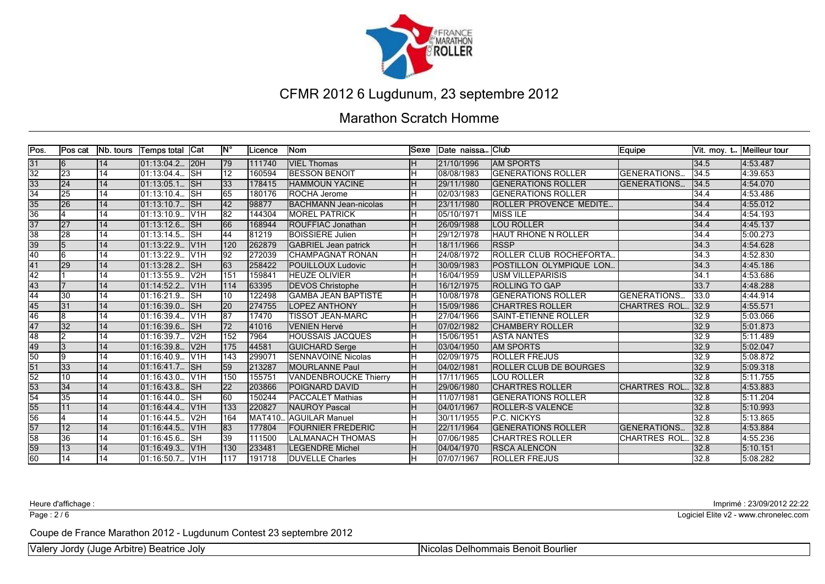

#### Marathon Scratch Homme

| Pos.            | Pos cat         | Nb. tours | Temps total  | <b>Cat</b>                | ١N°             | Licence       | Nom                         | lSexe | Date naissa | <b>IClub</b>                    | Equipe               | IVit. moy. t. | Meilleur tour |
|-----------------|-----------------|-----------|--------------|---------------------------|-----------------|---------------|-----------------------------|-------|-------------|---------------------------------|----------------------|---------------|---------------|
| 31              | 16              | 14        | 01:13:04.2.  | 120H                      | 79              | 111740        | <b>VIEL Thomas</b>          |       | 21/10/1996  | <b>JAM SPORTS</b>               |                      | 34.5          | 4:53.487      |
| $\overline{32}$ | $\overline{23}$ | 14        | 101:13:04.4  | <b>I</b> SH               | 12 <sup>2</sup> | 160594        | <b>IBESSON BENOIT</b>       |       | 08/08/1983  | <b>IGENERATIONS ROLLER</b>      | <b>IGENERATIONS.</b> | 34.5          | 4:39.653      |
| 33              | 24              | 14        | 01:13:05.1.  | <b>ISH</b>                | $ 33\rangle$    | 178415        | <b>HAMMOUN YACINE</b>       |       | 29/11/1980  | <b>IGENERATIONS ROLLER</b>      | <b>IGENERATIONS.</b> | 34.5          | 4:54.070      |
| $\overline{34}$ | 25              | 14        | 101:13:10.4  | lsн                       | 65              | 180176        | <b>ROCHA Jerome</b>         |       | 02/03/1983  | <b>GENERATIONS ROLLER</b>       |                      | 34.4          | 4:53.486      |
| 35              | 26              | 14        | 01:13:10.7.  | <b>I</b> SH               | $\overline{42}$ | 98877         | BACHMANN Jean-nicolas       | Iн    | 23/11/1980  | <b>IROLLER PROVENCE MEDITE</b>  |                      | 34.4          | 4:55.012      |
| 36              |                 | 14        | 01:13:10.9.  | IV <sub>1</sub> H         | 82              | 144304        | <b>MOREL PATRICK</b>        | lн    | 05/10/1971  | <b>MISS ILE</b>                 |                      | 34.4          | 4:54.193      |
| $\overline{37}$ | 27              | 14        | 01:13:12.6.  | <b>ISH</b>                | 66              | 168944        | <b>ROUFFIAC Jonathan</b>    |       | 26/09/1988  | <b>LOU ROLLER</b>               |                      | 34.4          | 4:45.137      |
| $\overline{38}$ | 28              | 14        | 01:13:14.5.  | <b>SH</b>                 | 44              | 81219         | <b>BOISSIERE Julien</b>     |       | 29/12/1978  | <b>HAUT RHONE N ROLLER</b>      |                      | 34.4          | 5:00.273      |
| 39              | 15              | 14        | 01:13:22.9.  | V1H                       | 120             | 262879        | <b>GABRIEL Jean patrick</b> |       | 18/11/1966  | <b>IRSSP</b>                    |                      | 34.3          | 4:54.628      |
| 40              | l6              | 14        | 01:13:22.9.  | lV1H                      | 92              | 272039        | <b>CHAMPAGNAT RONAN</b>     |       | 24/08/1972  | <b>IROLLER CLUB ROCHEFORTA.</b> |                      | 34.3          | 4:52.830      |
| $\overline{41}$ | 29              | 14        | 01:13:28.2.  | <b>SH</b>                 | 63              | 258422        | <b>POUILLOUX Ludovic</b>    | lн    | 30/09/1983  | <b>IPOSTILLON OLYMPIQUE LON</b> |                      | 34.3          | 4:45.186      |
| 42              |                 | 14        | 01:13:55.9.  | V <sub>2H</sub>           | 151             | 159841        | <b>HEUZE OLIVIER</b>        |       | 16/04/1959  | <b>USM VILLEPARISIS</b>         |                      | 34.1          | 4:53.686      |
| 43              |                 | 14        | 01:14:52.2.  | V1H                       | 114             | 63395         | <b>DEVOS Christophe</b>     |       | 16/12/1975  | <b>ROLLING TO GAP</b>           |                      | 33.7          | 4:48.288      |
| 44              | 30              | 14        | 01:16:21.9.  | <b>SH</b>                 | 10              | 122498        | <b>GAMBA JEAN BAPTISTE</b>  |       | 10/08/1978  | <b>GENERATIONS ROLLER</b>       | <b>GENERATIONS.</b>  | 33.0          | 4:44.914      |
| 45              | 31              | 14        | 01:16:39.0.  | <b>SH</b>                 | 20              | 274755        | <b>LOPEZ ANTHONY</b>        |       | 15/09/1986  | <b>CHARTRES ROLLER</b>          | <b>CHARTRES ROL.</b> | 32.9          | 4:55.571      |
| 46              | 18              | 14        | 101:16:39.4  | IV1H                      | 87              | 17470         | <b>TISSOT JEAN-MARC</b>     |       | 27/04/1966  | <b>SAINT-ETIENNE ROLLER</b>     |                      | 32.9          | 5:03.066      |
| 47              | $\overline{32}$ | 14        | 01:16:39.6.  | <b>SH</b>                 | 72              | 41016         | <b>VENIEN Hervé</b>         |       | 07/02/1982  | <b>CHAMBERY ROLLER</b>          |                      | 32.9          | 5:01.873      |
| $\overline{48}$ | l2              | 14        | 01:16:39.7.  | V <sub>2H</sub>           | 152             | 7964          | <b>HOUSSAIS JACQUES</b>     |       | 15/06/1951  | <b>ASTA NANTES</b>              |                      | 32.9          | 5:11.489      |
| 49              | l3              | 14        | 01:16:39.8.  | V <sub>2</sub> H          | 175             | 44581         | <b>GUICHARD Serge</b>       |       | 03/04/1950  | <b>JAM SPORTS</b>               |                      | 32.9          | 5:02.047      |
| $\overline{50}$ | l9              | 14        | 01:16:40.9.  | V1H                       | $\sqrt{143}$    | 29907         | <b>SENNAVOINE Nicolas</b>   |       | 02/09/1975  | <b>ROLLER FREJUS</b>            |                      | 32.9          | 5:08.872      |
| 51              | $\overline{33}$ | 14        | 01:16:41.7.  | <b>ISH</b>                | 59              | 213287        | <b>MOURLANNE Paul</b>       |       | 04/02/1981  | <b>ROLLER CLUB DE BOURGES</b>   |                      | 32.9          | 5:09.318      |
| $\overline{52}$ | $\overline{10}$ | 14        | 01:16:43.0.  | IV1H                      | 150             | 155751        | VANDENBROUCKE Thierry       | lн    | 17/11/1965  | <b>LOU ROLLER</b>               |                      | 32.8          | 5:11.755      |
| 53              | 34              | 14        | 101:16:43.8  | $\overline{\mathsf{S}}$ H | $ 22\rangle$    | 203866        | <b>POIGNARD DAVID</b>       |       | 29/06/1980  | <b>CHARTRES ROLLER</b>          | <b>CHARTRES ROL.</b> | 32.8          | 4:53.883      |
| $\overline{54}$ | 35              | 14        | l01:16:44.0. | lsн                       | 60              | 150244        | IPACCALET Mathias           |       | 11/07/1981  | <b>IGENERATIONS ROLLER</b>      |                      | 32.8          | 5:11.204      |
| $\overline{55}$ | 11              | 14        | 101:16:44.4. | IV1H                      | 133             | 220827        | <b>INAUROY Pascal</b>       |       | 04/01/1967  | <b>IROLLER-S VALENCE</b>        |                      | 32.8          | 5:10.993      |
| 56              |                 | 14        | 01:16:44.5.  | V <sub>2H</sub>           | 164             | <b>MAT410</b> | <b>AGUILAR Manuel</b>       |       | 30/11/1955  | <b>IP.C. NICKYS</b>             |                      | 32.8          | 5:13.865      |
| 57              | $\overline{12}$ | 14        | 01:16:44.5   | IV1H                      | 83              | 177804        | <b>FOURNIER FREDERIC</b>    | lн    | 22/11/1964  | <b>GENERATIONS ROLLER</b>       | IGENERATIONS.        | 32.8          | 4:53.884      |
| 58              | 36              | 14        | 01:16:45.6.  | lsн                       | 39              | 111500        | <b>LALMANACH THOMAS</b>     |       | 07/06/1985  | <b>ICHARTRES ROLLER</b>         | ICHARTRES ROL        | 32.8          | 4:55.236      |
| 59              | $\overline{13}$ | 14        | 01:16:49.3.  | IV1H                      | 130             | 233481        | <b>LEGENDRE Michel</b>      |       | 04/04/1970  | <b>RSCA ALENCON</b>             |                      | 32.8          | 5:10.151      |
| 60              | 14              | 14        | 01:16:50.7.  | V <sub>1</sub> H          | 117             | 191718        | <b>DUVELLE Charles</b>      |       | 07/07/1967  | <b>IROLLER FREJUS</b>           |                      | 32.8          | 5:08.282      |

Page : 2/6

Heure d'affichage : Imprimé : 23/09/2012 22:22

Logiciel Elite v2 - www.chronelec.com

Coupe de France Marathon 2012 - Lugdunum Contest 23 septembre 2012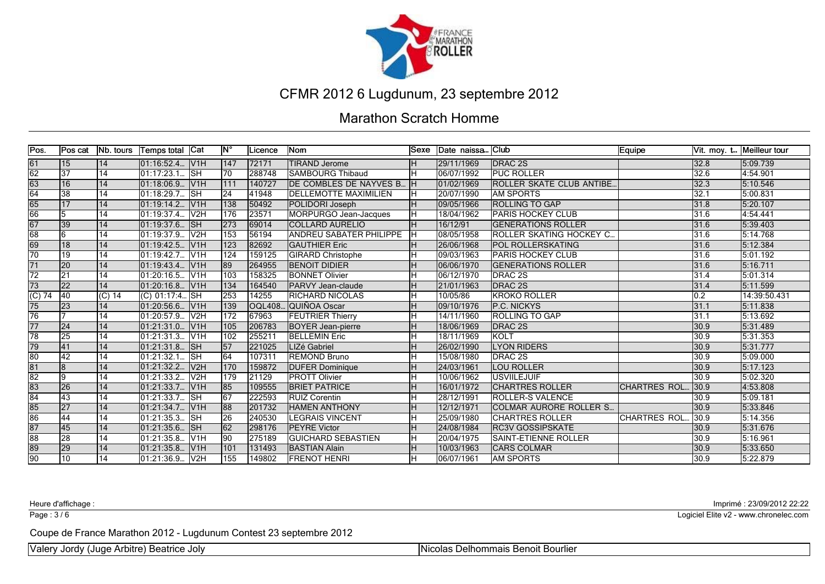

#### Marathon Scratch Homme

| Pos.                | Pos cat         | Nb. tours       | Temps total  Cat |                   | ١N°              | Licence       | Nom                            | lSexe | Date naissa | lClub.                           | Equipe              |      | Vit. moy. t Meilleur tour |
|---------------------|-----------------|-----------------|------------------|-------------------|------------------|---------------|--------------------------------|-------|-------------|----------------------------------|---------------------|------|---------------------------|
| $\overline{61}$     | <b>15</b>       | 14              | 01:16:52.4 V1H   |                   | 147              | 72171         | <b>TIRAND Jerome</b>           | Iн    | 29/11/1969  | <b>DRAC 2S</b>                   |                     | 32.8 | 5:09.739                  |
| $\overline{62}$     | $\overline{37}$ | $\overline{14}$ | 101:17:23.1      | <b>I</b> SH       | 70               | 288748        | <b>ISAMBOURG Thibaud</b>       |       | 06/07/1992  | <b>IPUC ROLLER</b>               |                     | 32.6 | 4:54.901                  |
| 63                  | 16              | 14              | 101:18:06.9      | IV1H              | 1111             | 140727        | DE COMBLES DE NAYVES B.        |       | 01/02/1969  | <b>ROLLER SKATE CLUB ANTIBE.</b> |                     | 32.3 | 5:10.546                  |
| 64                  | 38              | 14              | 01:18:29.7.      | <b>SH</b>         | 24               | 41948         | <b>IDELLEMOTTE MAXIMILIEN</b>  |       | 20/07/1990  | <b>JAM SPORTS</b>                |                     | 32.1 | 5:00.831                  |
| 65                  | 17              | 14              | 01:19:14.2.      | IV1H              | 138              | 50492         | POLIDORI Joseph                | Iн.   | 09/05/1966  | <b>IROLLING TO GAP</b>           |                     | 31.8 | 5:20.107                  |
| 66                  | 15              | 14              | 01:19:37.4       | IV <sub>2</sub> H | 176              | 23571         | MORPURGO Jean-Jacques          |       | 18/04/1962  | <b>PARIS HOCKEY CLUB</b>         |                     | 31.6 | 4:54.441                  |
| 67                  | $\overline{39}$ | 14              | 01:19:37.6.      | <b>ISH</b>        | $\overline{273}$ | 69014         | <b>ICOLLARD AURELIO</b>        |       | 16/12/91    | <b>GENERATIONS ROLLER</b>        |                     | 31.6 | 5:39.403                  |
| $\overline{68}$     | 16              | 14              | 01:19:37.9.      | V <sub>2H</sub>   | 153              | 56194         | <b>ANDREU SABATER PHILIPPE</b> |       | 08/05/1958  | <b>ROLLER SKATING HOCKEY C.</b>  |                     | 31.6 | 5:14.768                  |
| 69                  | 18              | 14              | 01:19:42.5.      | IV1H              | 123              | 82692         | <b>GAUTHIER Eric</b>           |       | 26/06/1968  | <b>POL ROLLERSKATING</b>         |                     | 31.6 | 5:12.384                  |
| 70                  | 19              | 14              | 01:19:42.7.      | IV1H              | 124              | 159125        | <b>GIRARD Christophe</b>       |       | 09/03/1963  | <b>PARIS HOCKEY CLUB</b>         |                     | 31.6 | 5:01.192                  |
| $\overline{71}$     | $\overline{20}$ | 14              | 01:19:43.4.      | IV1H              | 89               | 264955        | <b>BENOIT DIDIER</b>           | lн    | 06/06/1970  | <b>IGENERATIONS ROLLER</b>       |                     | 31.6 | 5:16.711                  |
| $\overline{72}$     | 21              | 14              | 01:20:16.5.      | V1H               | 103              | 158325        | <b>BONNET Olivier</b>          |       | 06/12/1970  | <b>DRAC 2S</b>                   |                     | 31.4 | 5:01.314                  |
| $\overline{73}$     | $\overline{22}$ | 14              | 01:20:16.8.      | V1H               | 134              | 164540        | PARVY Jean-claude              | lн    | 21/01/1963  | <b>DRAC 2S</b>                   |                     | 31.4 | 5:11.599                  |
| $\overline{(C) 74}$ | 40              | $(C)$ 14        | $(C)$ 01:17:4.   | <b>I</b> SH       | 253              | 14255         | <b>RICHARD NICOLAS</b>         |       | 10/05/86    | <b>KROKO ROLLER</b>              |                     | 0.2  | 14:39:50.431              |
| 75                  | 23              | 14              | 01:20:56.6.      | IV1H              | 139              | <b>OQL408</b> | QUIÑOA Oscar                   |       | 09/10/1976  | <b>IP.C. NICKYS</b>              |                     | 31.1 | 5:11.838                  |
| 76                  |                 | 14              | 01:20:57.9.      | V <sub>2H</sub>   | 172              | 67963         | <b>FEUTRIER Thierry</b>        |       | 14/11/1960  | <b>IROLLING TO GAP</b>           |                     | 31.1 | 5:13.692                  |
| $\overline{77}$     | 24              | 14              | 01:21:31.0.      | IV1H              | 105              | 206783        | <b>BOYER Jean-pierre</b>       | Iн    | 18/06/1969  | <b>DRAC 2S</b>                   |                     | 30.9 | 5:31.489                  |
| $\overline{78}$     | 25              | 14              | $01:21:31.3$ .   | IV <sub>1</sub> H | 102              | 255211        | <b>BELLEMIN Eric</b>           |       | 18/11/1969  | <b>KOLT</b>                      |                     | 30.9 | 5:31.353                  |
| $\overline{79}$     | 41              | 14              | 01:21:31.8       | <b>ISH</b>        | $\overline{57}$  | 221025        | LIZé Gabriel                   | Iн.   | 26/02/1990  | <b>LYON RIDERS</b>               |                     | 30.9 | 5:31.777                  |
| 80                  | $\overline{42}$ | 14              | 01:21:32.1.      | Тѕн               | 64               | 107311        | <b>REMOND Bruno</b>            |       | 15/08/1980  | <b>DRAC 2S</b>                   |                     | 30.9 | 5:09.000                  |
| 81                  | 18              | 14              | 01:21:32.2.      | V2H               | 170              | 159872        | <b>DUFER Dominique</b>         | Iн    | 24/03/1961  | <b>LOU ROLLER</b>                |                     | 30.9 | 5:17.123                  |
| $\overline{82}$     | 19              | 14              | 01:21:33.2.      | V <sub>2</sub> H  | 179              | 21129         | <b>PROTT Olivier</b>           | lн    | 10/06/1962  | <b>IUSVIILEJUIF</b>              |                     | 30.9 | 5:02.320                  |
| 83                  | 26              | 14              | 01:21:33.7.      | IV1H              | 85               | 109555        | <b>BRIET PATRICE</b>           |       | 16/01/1972  | <b>CHARTRES ROLLER</b>           | <b>CHARTRES ROL</b> | 30.9 | 4:53.808                  |
| 84                  | 43              | 14              | 01:21:33.7.      | <b>SH</b>         | 67               | 222593        | <b>RUIZ Corentin</b>           |       | 28/12/1991  | <b>ROLLER-S VALENCE</b>          |                     | 30.9 | 5:09.181                  |
| 85                  | 27              | 14              | 101:21:34.7.     | IV1H              | 88               | 201732        | <b>HAMEN ANTHONY</b>           | Iн    | 12/12/1971  | ICOLMAR AURORE ROLLER S          |                     | 30.9 | 5:33.846                  |
| 86                  | 44              | 14              | 01:21:35.3.      | <b>SH</b>         | 26               | 240530        | <b>LEGRAIS VINCENT</b>         |       | 25/09/1980  | <b>CHARTRES ROLLER</b>           | ICHARTRES ROL       | 30.9 | 5:14.356                  |
| 87                  | 45              | 14              | 01:21:35.6.      | SH                | 62               | 298176        | <b>IPEYRE Victor</b>           | Iн    | 24/08/1984  | <b>RC3V GOSSIPSKATE</b>          |                     | 30.9 | 5:31.676                  |
| 88                  | 28              | 14              | 01:21:35.8.      | V1H               | $\overline{90}$  | 275189        | İGUICHARD SEBASTIEN            |       | 20/04/1975  | <b>SAINT-ETIENNE ROLLER</b>      |                     | 30.9 | 5:16.961                  |
| 89                  | 29              | 14              | 01:21:35.8.      | IV1H              | 101              | 131493        | <b>BASTIAN Alain</b>           | lн    | 10/03/1963  | <b>CARS COLMAR</b>               |                     | 30.9 | 5:33.650                  |
| $\overline{90}$     | 10              | 14              | 01:21:36.9       | V <sub>2H</sub>   | 155              | 149802        | <b>FRENOT HENRI</b>            |       | 06/07/1961  | IAM SPORTS                       |                     | 30.9 | 5:22.879                  |

Page : 3/6

Heure d'affichage : Imprimé : 23/09/2012 22:22

Logiciel Elite v2 - www.chronelec.com

Coupe de France Marathon 2012 - Lugdunum Contest 23 septembre 2012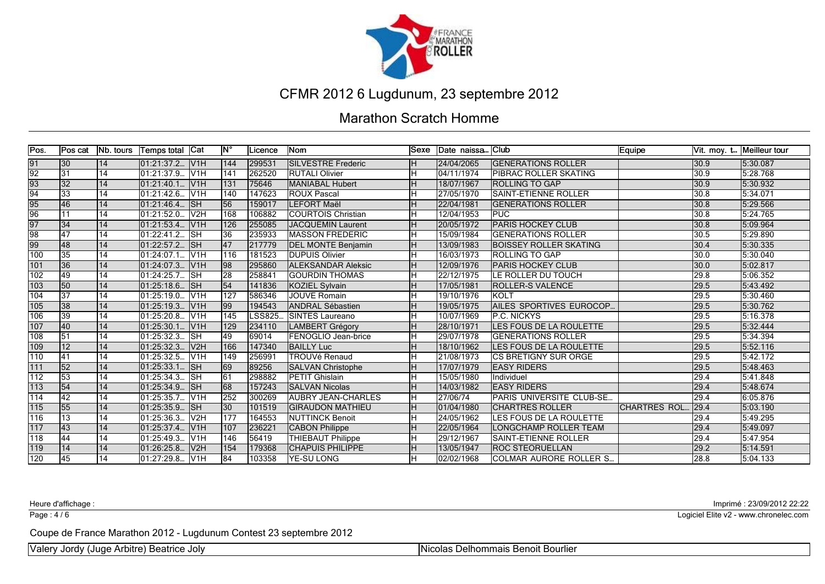

#### Marathon Scratch Homme

| Pos.             | lPos cat        | <b>Nb.</b> tours | <b>Temps total</b>   | <b>Cat</b>       | <b>IN°</b>       | Licence       | lNom                      | <b>Sexe</b> | Date naissa | lClub.                           | Equipe              |      | Vit. moy. t Meilleur tour |
|------------------|-----------------|------------------|----------------------|------------------|------------------|---------------|---------------------------|-------------|-------------|----------------------------------|---------------------|------|---------------------------|
| 91               | 30              | 14               | 01:21:37.2           | V <sub>1H</sub>  | 144              | 299531        | <b>SILVESTRE Frederic</b> |             | 24/04/2065  | <b>IGENERATIONS ROLLER</b>       |                     | 30.9 | 5:30.087                  |
| $\overline{92}$  | $\overline{31}$ | $\overline{14}$  | 01:21:37.9.          | V <sub>1H</sub>  | $\overline{141}$ | 262520        | <b>RUTALI Olivier</b>     |             | 04/11/1974  | <b>IPIBRAC ROLLER SKATING</b>    |                     | 30.9 | 5:28.768                  |
| 93               | 32              | 14               | 01:21:40.1           | V1H              | 131              | 75646         | <b>MANIABAL Hubert</b>    |             | 18/07/1967  | <b>IROLLING TO GAP</b>           |                     | 30.9 | 5:30.932                  |
| $\overline{94}$  | 33              | 14               | 01:21:42.6.          | lV1H             | 140              | 147623        | <b>ROUX Pascal</b>        |             | 27/05/1970  | <b>SAINT-ETIENNE ROLLER</b>      |                     | 30.8 | 5:34.071                  |
| $\frac{95}{96}$  | 46              | 14               | 01:21:46.4.          | lsн              | 56               | 159017        | <b>LEFORT Maël</b>        |             | 22/04/1981  | <b>IGENERATIONS ROLLER</b>       |                     | 30.8 | 5:29.566                  |
|                  | 11              | 14               | 01:21:52.0.          | V <sub>2H</sub>  | 168              | 106882        | <b>COURTOIS Christian</b> | lн          | 12/04/1953  | <b>IPUC</b>                      |                     | 30.8 | 5:24.765                  |
| 97               | 34              | 14               | [01:21:53.4]         | V <sub>1H</sub>  | 126              | 255085        | JACQUEMIN Laurent         |             | 20/05/1972  | <b>IPARIS HOCKEY CLUB</b>        |                     | 30.8 | 5:09.964                  |
| $\overline{98}$  | 47              | 14               | 01:22:41.2.          | lsн              | 36               | 235933        | <b>MASSON FREDERIC</b>    |             | 15/09/1984  | <b>GENERATIONS ROLLER</b>        |                     | 30.5 | 5:29.890                  |
| $\frac{99}{100}$ | 48              | 14               | 01:22:57.2           | SH               | 47               | 217779        | <b>DEL MONTE Benjamin</b> |             | 13/09/1983  | <b>BOISSEY ROLLER SKATING</b>    |                     | 30.4 | 5:30.335                  |
|                  | 35              | 14               | $\sqrt{01}$ :24:07.1 | lv1H             | 116              | 181523        | <b>DUPUIS Olivier</b>     |             | 16/03/1973  | <b>IROLLING TO GAP</b>           |                     | 30.0 | 5:30.040                  |
| 101              | 36              | 14               | 01:24:07.3.          | lv1H             | 98               | 295860        | <b>ALEKSANDAR Aleksic</b> | lн          | 12/09/1976  | <b>IPARIS HOCKEY CLUB</b>        |                     | 30.0 | 5:02.817                  |
| 102              | 49              | 14               | 01:24:25.7.          | <b>SH</b>        | $\overline{28}$  | 258841        | <b>IGOURDIN THOMAS</b>    |             | 22/12/1975  | <b>LE ROLLER DU TOUCH</b>        |                     | 29.8 | 5:06.352                  |
| 103              | 50              | 14               | 01:25:18.6.          | <b>SH</b>        | $\overline{54}$  | 141836        | KOZIEL Sylvain            |             | 17/05/1981  | <b>ROLLER-S VALENCE</b>          |                     | 29.5 | 5:43.492                  |
| 104              | $\overline{37}$ | 14               | 01:25:19.0.          | lV1H             | 127              | 586346        | <b>JOUVE Romain</b>       |             | 19/10/1976  | <b>IKOLT</b>                     |                     | 29.5 | 5:30.460                  |
| 105              | 38              | 14               | 01:25:19.3.          | V <sub>1H</sub>  | $ 99\rangle$     | 194543        | <b>ANDRAL Sébastien</b>   |             | 19/05/1975  | <b>JAILES SPORTIVES EUROCOP.</b> |                     | 29.5 | 5:30.762                  |
| 106              | 39              | 14               | 01:25:20.8.          | lV1H             | 145              | <b>LSS825</b> | <b>ISINTES Laureano</b>   |             | 10/07/1969  | <b>IP.C. NICKYS</b>              |                     | 29.5 | 5:16.378                  |
| 107              | 40              | 14               | 01:25:30.1.          | IV1H             | 129              | 234110        | <b>LAMBERT Grégory</b>    | lн          | 28/10/1971  | <b>LES FOUS DE LA ROULETTE</b>   |                     | 29.5 | 5:32.444                  |
| 108              | $\overline{51}$ | 14               | 01:25:32.3.          | <b>SH</b>        | 49               | 69014         | FENOGLIO Jean-brice       |             | 29/07/1978  | <b>IGENERATIONS ROLLER</b>       |                     | 29.5 | 5:34.394                  |
| $\overline{109}$ | $\overline{12}$ | 14               | [01:25:32.3]         | V <sub>2</sub> H | 166              | 147340        | <b>BAILLY Luc</b>         |             | 18/10/1962  | <b>LES FOUS DE LA ROULETTE</b>   |                     | 29.5 | 5:52.116                  |
| 110              | 41              | 14               | 01:25:32.5.          | V1H              | 149              | 256991        | TROUVé Renaud             |             | 21/08/1973  | <b>ICS BRETIGNY SUR ORGE</b>     |                     | 29.5 | 5:42.172                  |
| $111$            | 52              | 14               | 01:25:33.1.          | lsн              | 69               | 89256         | <b>SALVAN Christophe</b>  |             | 17/07/1979  | <b><i>EASY RIDERS</i></b>        |                     | 29.5 | 5:48.463                  |
| $\overline{112}$ | 53              | $\overline{14}$  | 01:25:34.3.          | <b>ISH</b>       | 61               | 298882        | <b>PETIT Ghislain</b>     |             | 15/05/1980  | Individuel                       |                     | 29.4 | 5:41.848                  |
| $\overline{113}$ | 54              | 14               | 01:25:34.9.          | <b>SH</b>        | 68               | 157243        | <b>ISALVAN Nicolas</b>    |             | 14/03/1982  | <b><i>IEASY RIDERS</i></b>       |                     | 29.4 | 5:48.674                  |
| 114              | 42              | $\overline{14}$  | 01:25:35.7.          | V <sub>1</sub> H | 252              | 300269        | <b>AUBRY JEAN-CHARLES</b> |             | 27/06/74    | PARIS UNIVERSITE CLUB-SE         |                     | 29.4 | 6:05.876                  |
| $\overline{115}$ | 55              | 14               | 01:25:35.9.          | <b>SH</b>        | $ 30\rangle$     | 101519        | <b>IGIRAUDON MATHIEU</b>  |             | 01/04/1980  | <b>CHARTRES ROLLER</b>           | <b>CHARTRES ROL</b> | 29.4 | 5:03.190                  |
| 116              | 13              | 14               | 01:25:36.3.          | V2H              | $\overline{177}$ | 164553        | <b>NUTTINCK Benoit</b>    |             | 24/05/1962  | LES FOUS DE LA ROULETTE          |                     | 29.4 | 5:49.295                  |
| $117$            | 43              | 14               | 01:25:37.4.          | V <sub>1</sub> H | 107              | 236221        | <b>CABON Philippe</b>     |             | 22/05/1964  | <b>LONGCHAMP ROLLER TEAM</b>     |                     | 29.4 | 5:49.097                  |
| 118              | 44              | 14               | 01:25:49.3.          | V1H              | 146              | 56419         | <b>THIEBAUT Philippe</b>  | lн          | 29/12/1967  | <b>SAINT-ETIENNE ROLLER</b>      |                     | 29.4 | 5:47.954                  |
| 119              | 14              | 14               | 01:26:25.8           | lv2H             | 154              | 179368        | <b>CHAPUIS PHILIPPE</b>   |             | 13/05/1947  | <b>IROC STEORUELLAN</b>          |                     | 29.2 | 5:14.591                  |
| 120              | 45              | 14               | 01:27:29.8 V1H       |                  | $\overline{84}$  | 103358        | <b>YE-SU LONG</b>         |             | 02/02/1968  | ICOLMAR AURORE ROLLER S          |                     | 28.8 | 5:04.133                  |

Page : 4/6

Heure d'affichage : Imprimé : 23/09/2012 22:22

Logiciel Elite v2 - www.chronelec.com

Coupe de France Marathon 2012 - Lugdunum Contest 23 septembre 2012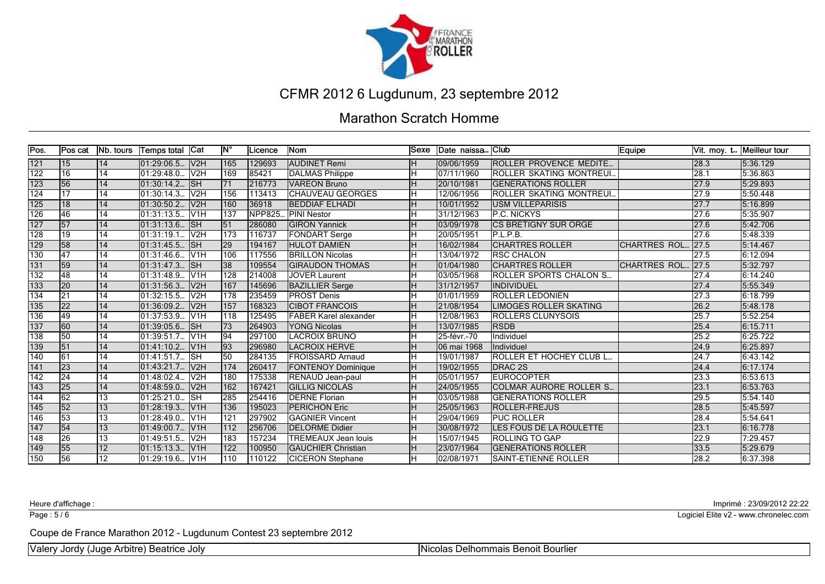

#### Marathon Scratch Homme

| Pos.             | lPos cat        | <b>INb. tours</b> | <b>Temps total</b>      | Cat               | <b>IN°</b>       | .icence       | lNom                         | lSexe | Date naissa  | lClub                            | Equipe              |      | Vit. moy. t Meilleur tour |
|------------------|-----------------|-------------------|-------------------------|-------------------|------------------|---------------|------------------------------|-------|--------------|----------------------------------|---------------------|------|---------------------------|
| $121$            | 15              | 14                | 01:29:06.5              | V <sub>2</sub> H  | 165              | 129693        | <b>AUDINET Remi</b>          |       | 09/06/1959   | ROLLER PROVENCE MEDITE           |                     | 28.3 | 5:36.129                  |
| $\overline{122}$ | 16              | $\overline{14}$   | 01:29:48.0.             | V2H               | 169              | 85421         | <b>DALMAS Philippe</b>       |       | 07/11/1960   | <b>IROLLER SKATING MONTREUI</b>  |                     | 28.1 | 5:36.863                  |
| 123              | 56              | 14                | 01:30:14.2.             | <b>SH</b>         | 171              | 216773        | <b>VAREON Bruno</b>          |       | 20/10/1981   | <b>IGENERATIONS ROLLER</b>       |                     | 27.9 | 5:29.893                  |
| 124              | 17              | 14                | 01:30:14.3.             | V <sub>2</sub> H  | 156              | 113413        | <b>CHAUVEAU GEORGES</b>      |       | 12/06/1956   | <b>IROLLER SKATING MONTREUI.</b> |                     | 27.9 | 5:50.448                  |
| $\overline{125}$ | 18              | 14                | 01:30:50.2.             | V2H               | 160              | 36918         | <b>BEDDIAF ELHADI</b>        |       | 10/01/1952   | <b>IUSM VILLEPARISIS</b>         |                     | 27.7 | 5:16.899                  |
| 126              | 46              | $\overline{14}$   | 01:31:13.5.             | IV <sub>1</sub> H | 137              | <b>NPP825</b> | <b>PINI Nestor</b>           | lн    | 31/12/1963   | <b>P.C. NICKYS</b>               |                     | 27.6 | 5:35.907                  |
| $\overline{127}$ | 57              | 14                | $01:31:13.6$ .          | lsн               | 51               | 286080        | <b>GIRON Yannick</b>         |       | 03/09/1978   | <b>ICS BRETIGNY SUR ORGE</b>     |                     | 27.6 | 5:42.706                  |
| $\overline{128}$ | 19              | 14                | 01:31:19.1              | V <sub>2</sub> H  | $\overline{173}$ | 116737        | <b>FONDART Serge</b>         |       | 20/05/1951   | P.L.P.B.                         |                     | 27.6 | 5:48.339                  |
| 129              | 58              | 14                | $\overline{01:}31:45.5$ | <b>SH</b>         | $ 29\rangle$     | 194167        | <b>HULOT DAMIEN</b>          |       | 16/02/1984   | <b>CHARTRES ROLLER</b>           | <b>CHARTRES ROL</b> | 27.5 | 5:14.467                  |
| 130              | 47              | 14                | 01:31:46.6.             | lv1H              | 106              | 117556        | <b>BRILLON Nicolas</b>       |       | 13/04/1972   | <b>IRSC CHALON</b>               |                     | 27.5 | 6:12.094                  |
| $\overline{131}$ | 59              | 14                | 01:31:47.3.             | <b>SH</b>         | 38               | 109554        | <b>GIRAUDON THOMAS</b>       |       | 01/04/1980   | <b>CHARTRES ROLLER</b>           | ICHARTRES ROL       | 27.5 | 5:32.797                  |
| 132              | 48              | 14                | 01:31:48.9.             | V <sub>1</sub> H  | 128              | 214008        | <b>JOVER Laurent</b>         |       | 03/05/1968   | <b>ROLLER SPORTS CHALON S</b>    |                     | 27.4 | 6:14.240                  |
| $\overline{133}$ | 20              | 14                | 01:31:56.3.             | V <sub>2</sub> H  | 167              | 145696        | <b>BAZILLIER Serge</b>       |       | 31/12/1957   | INDIVIDUEL                       |                     | 27.4 | 5:55.349                  |
| 134              | $\overline{21}$ | $\overline{14}$   | 01:32:15.5              | V2H               | 178              | 235459        | <b>PROST Denis</b>           | lн    | 01/01/1959   | <b>ROLLER LEDONIEN</b>           |                     | 27.3 | 6:18.799                  |
| 135              | 22              | 14                | 01:36:09.2.             | V <sub>2H</sub>   | 157              | 168323        | <b>CIBOT FRANCOIS</b>        |       | 21/08/1954   | <b>ILIMOGES ROLLER SKATING</b>   |                     | 26.2 | 5:48.178                  |
| 136              | 49              | 14                | 01:37:53.9.             | V1H               | 118              | 125495        | <b>FABER Karel alexander</b> |       | 12/08/1963   | <b>IROLLERS CLUNYSOIS</b>        |                     | 25.7 | 5:52.254                  |
| $\overline{137}$ | 60              | 14                | [01:39:05.6]            | <b>SH</b>         | 73               | 264903        | <b>YONG Nicolas</b>          |       | 13/07/1985   | <b>RSDB</b>                      |                     | 25.4 | 6:15.711                  |
| 138              | 50              | 14                | 01:39:51.7.             | V <sub>1H</sub>   | $\overline{94}$  | 297100        | LACROIX BRUNO                |       | 25-févr.-70  | Individuel                       |                     | 25.2 | 6:25.722                  |
| 139              | $\overline{51}$ | 14                | 01:41:10.2              | V1H               | $\sqrt{93}$      | 296980        | <b>LACROIX HERVE</b>         |       | 106 mai 1968 | Individuel                       |                     | 24.9 | 6:25.897                  |
| 140              | 61              | 14                | 01:41:51.7.             | <b>SH</b>         | 50               | 284135        | <b>FROISSARD Arnaud</b>      |       | 19/01/1987   | <b>IROLLER ET HOCHEY CLUB L.</b> |                     | 24.7 | 6:43.142                  |
| 141              | 23              | 14                | 01:43:21.7.             | V <sub>2H</sub>   | 1174             | 260417        | <b>FONTENOY Dominique</b>    |       | 19/02/1955   | <b>IDRAC 2S</b>                  |                     | 24.4 | 6:17.174                  |
| 142              | 24              | $\overline{14}$   | 01:48:02.4.             | V2H               | 180              | 175338        | RENAUD Jean-paul             |       | 05/01/1957   | <b>IEUROCOPTER</b>               |                     | 23.3 | 6:53.613                  |
| 143              | 25              | 14                | 01:48:59.0.             | lv2H              | 162              | 167421        | <b>GILLIG NICOLAS</b>        |       | 24/05/1955   | <b>COLMAR AURORE ROLLER S.</b>   |                     | 23.1 | 6:53.763                  |
| 144              | 62              | 13                | 01:25:21.0.             | <b>SH</b>         | 285              | 254416        | <b>DERNE Florian</b>         |       | 03/05/1988   | <b>IGENERATIONS ROLLER</b>       |                     | 29.5 | 5:54.140                  |
| $\overline{145}$ | $\overline{52}$ | 13                | 01:28:19.3              | V1H               | 136              | 195023        | <b>PERICHON Eric</b>         |       | 25/05/1963   | ROLLER-FREJUS                    |                     | 28.5 | 5:45.597                  |
| 146              | 53              | $\overline{13}$   | 01:28:49.0.             | lV1H              | 121              | 297902        | <b>GAGNIER Vincent</b>       |       | 29/04/1969   | <b>PUC ROLLER</b>                |                     | 28.4 | 5:54.641                  |
| 147              | 54              | 13                | 01:49:00.7.             | V <sub>1</sub> H  | 112              | 256706        | <b>DELORME Didier</b>        | lн    | 30/08/1972   | <b>LES FOUS DE LA ROULETTE</b>   |                     | 23.1 | 6:16.778                  |
| $\overline{148}$ | 26              | 13                | 01:49:51.5.             | V <sub>2</sub> H  | 183              | 157234        | <b>TREMEAUX Jean louis</b>   |       | 15/07/1945   | <b>ROLLING TO GAP</b>            |                     | 22.9 | 7:29.457                  |
| 149              | 55              | 12                | [01:15:13.3]            | V <sub>1</sub> H  | 122              | 100950        | <b>GAUCHIER Christian</b>    |       | 23/07/1964   | <b>GENERATIONS ROLLER</b>        |                     | 33.5 | 5:29.679                  |
| 150              | 56              | 12 <sup>2</sup>   | 01:29:19.6.             | V <sub>1H</sub>   | 110              | 110122        | <b>CICERON Stephane</b>      |       | 02/08/1971   | <b>I</b> SAINT-ETIENNE ROLLER    |                     | 28.2 | 6:37.398                  |

Page : 5/6

Heure d'affichage : Imprimé : 23/09/2012 22:22

Logiciel Elite v2 - www.chronelec.com

Coupe de France Marathon 2012 - Lugdunum Contest 23 septembre 2012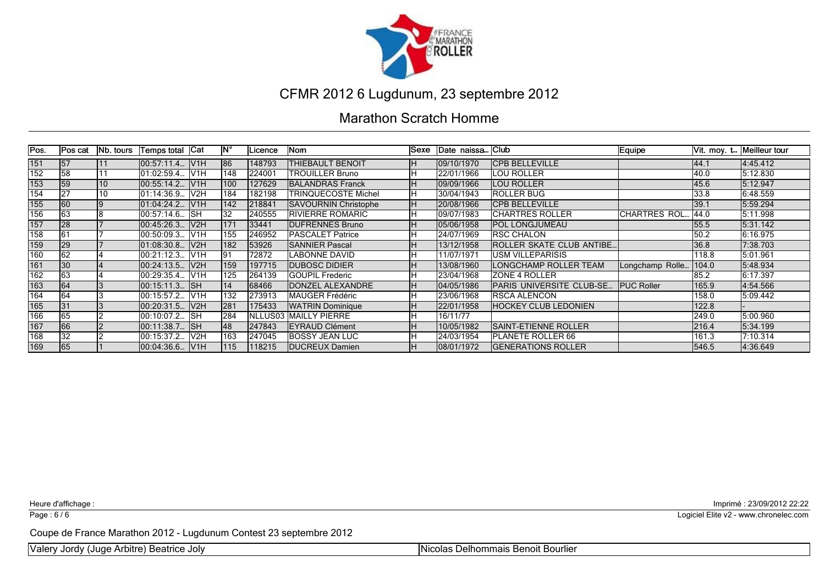

#### Marathon Scratch Homme

| Pos.             | <b>Pos cat</b> | <b>Nb. tours</b> | Temps total   Cat |                   | lN°  | Licence         | Nom                         | <b>Sexe</b> | Date naissa Club |                                  | Equipe             |       | Vit. moy. t Meilleur tour |
|------------------|----------------|------------------|-------------------|-------------------|------|-----------------|-----------------------------|-------------|------------------|----------------------------------|--------------------|-------|---------------------------|
| 151              | 57             | 11               | 100:57:11.4       | IV1H              | 186  | 148793          | <b>THIEBAULT BENOIT</b>     | ıн          | 109/10/1970      | <b>ICPB BELLEVILLE</b>           |                    | 144.1 | 4:45.412                  |
| 152              | 58             |                  | l01:02:59.4       | IV <sub>1</sub> H | 148  | 224001          | <b>TROUILLER Bruno</b>      |             | 22/01/1966       | LOU ROLLER                       |                    | 40.0  | 5:12.830                  |
| 153              | 59             | 10               | 00:55:14.2        | IV1H              | 100  | 127629          | <b>BALANDRAS Franck</b>     | IH.         | 109/09/1966      | LOU ROLLER                       |                    | 45.6  | 5:12.947                  |
| 154              | 27             | 10               | 01:14:36.9.       | V2H               | 184  | 182198          | TRINQUECOSTE Michel         |             | 30/04/1943       | <b>IROLLER BUG</b>               |                    | 33.8  | 6:48.559                  |
| 155              | 60             |                  | 01:04:24.2        | IV1H              | 142  | 218841          | <b>SAVOURNIN Christophe</b> | IH.         | 20/08/1966       | ICPB BELLEVILLE                  |                    | 39.1  | 5:59.294                  |
| 156              | 63             |                  | 00:57:14.6.       | <b>ISH</b>        | 32   | 240555          | <b>IRIVIERRE ROMARIC</b>    |             | 09/07/1983       | <b>CHARTRES ROLLER</b>           | ICHARTRES ROL      | 144.0 | 5:11.998                  |
| 157              | 28             |                  | 00:45:26.3.       | IV2H              | 171  | 33441           | <b>IDUFRENNES Bruno</b>     |             | 105/06/1958      | <b>IPOL LONGJUMEAU</b>           |                    | 55.5  | 5:31.142                  |
| 158              | 61             |                  | 00:50:09.3.       | IV <sub>1</sub> H | 155  | 1246952         | <b>IPASCALET Patrice</b>    |             | l24/07/1969      | <b>IRSC CHALON</b>               |                    | 50.2  | 6:16.975                  |
| 159              | <b>29</b>      |                  | $01:08:30.8$ .    | V2H               | 182  | 53926           | <b>ISANNIER Pascal</b>      |             | 13/12/1958       | <b>IROLLER SKATE CLUB ANTIBE</b> |                    | 36.8  | 7:38.703                  |
| 160              | 62             |                  | 00:21:12.3.       | IV1H              | 191  | 72872           | <b>LABONNE DAVID</b>        |             | 11/07/1971       | IUSM VILLEPARISIS                |                    | 118.8 | 5:01.961                  |
| 161              | 30             |                  | 00:24:13.5        | IV2H              | 159  | 197715          | <b>IDUBOSC DIDIER</b>       |             | 13/08/1960       | LONGCHAMP ROLLER TEAM            | Longchamp Rolle    | 104.0 | 5:48.934                  |
| 162              | 63             |                  | 00:29:35.4        | IV <sub>1</sub> H | 125  | 1264139         | <b>GOUPIL Frederic</b>      |             | 123/04/1968      | <b>ZONE 4 ROLLER</b>             |                    | 85.2  | 6:17.397                  |
| $\overline{163}$ | 64             |                  | 00:15:11.3. ISH   |                   | 14   | 68466           | DONZEL ALEXANDRE            |             | 04/05/1986       | PARIS UNIVERSITE CLUB-SE         | <b>IPUC Roller</b> | 165.9 | 4:54.566                  |
| 164              | 64             |                  | 00:15:57.2.       | IV <sub>1</sub> H | 132  | 273913          | <b>IMAUGER Frédéric</b>     |             | 23/06/1968       | IRSCA ALENCON                    |                    | 158.0 | 5:09.442                  |
| 165              | 31             |                  | 00:20:31.5.       | V2H               | l281 | 175433          | <b>WATRIN Dominique</b>     |             | 22/01/1958       | <b>HOCKEY CLUB LEDONIEN</b>      |                    | 122.8 |                           |
| 166              | 65             |                  | 00:10:07.2        | <b>I</b> SH       | 284  | <b>INLLUS03</b> | <b>MAILLY PIERRE</b>        |             | 16/11/77         |                                  |                    | 249.0 | 5:00.960                  |
| 167              | 66             |                  | 00:11:38.7  SH    |                   | 148  | 1247843         | <b>EYRAUD Clément</b>       |             | 10/05/1982       | ISAINT-ETIENNE ROLLER            |                    | 216.4 | 5:34.199                  |
| 168              | 32             |                  | 00:15:37.2.       | V2H               | 163  | 247045          | <b>BOSSY JEAN LUC</b>       |             | 124/03/1954      | IPLANETE ROLLER 66               |                    | 161.3 | 7:10.314                  |
| 169              | 65             |                  | 00:04:36.6        | IV1H              | 115  | 118215          | <b>IDUCREUX Damien</b>      |             | 108/01/1972      | <b>GENERATIONS ROLLER</b>        |                    | 546.5 | 4:36.649                  |

Page : 6/6

Heure d'affichage : Imprimé : 23/09/2012 22:22

Logiciel Elite v2 - www.chronelec.com

Coupe de France Marathon 2012 - Lugdunum Contest 23 septembre 2012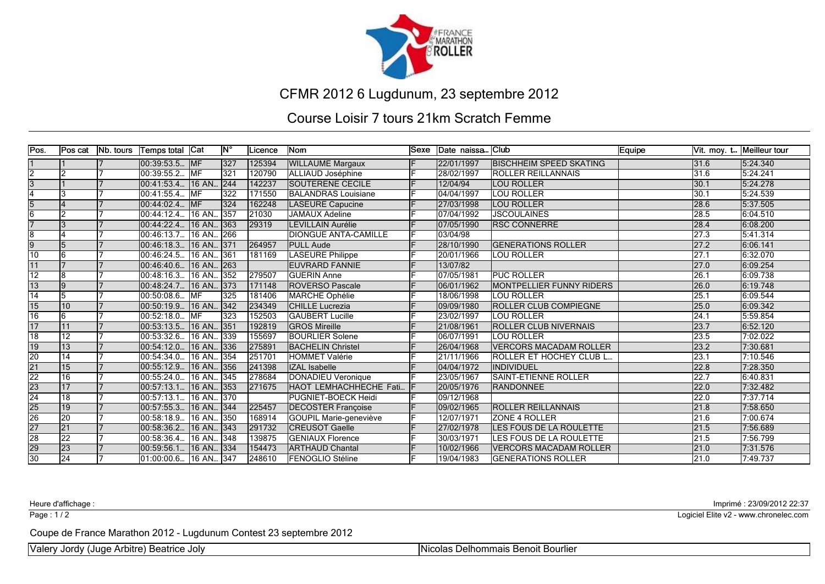

#### Course Loisir 7 tours 21km Scratch Femme

| Pos.            | lPos cat        | Nb. tours | Temps total Cat        |             | <b>IN°</b>       | Licence | lNom                        | lSexe | Date naissa Club |                                 | Equipe |                   | Vit. moy. t Meilleur tour |
|-----------------|-----------------|-----------|------------------------|-------------|------------------|---------|-----------------------------|-------|------------------|---------------------------------|--------|-------------------|---------------------------|
|                 |                 |           | 00:39:53.5  MF         |             | 327              | 125394  | <b>WILLAUME Margaux</b>     |       | 22/01/1997       | <b>IBISCHHEIM SPEED SKATING</b> |        | 31.6              | 5:24.340                  |
| $\overline{2}$  | Iゥ              |           | 00:39:55.2.            | <b>MF</b>   | $\overline{321}$ | 120790  | ALLIAUD Joséphine           |       | 28/02/1997       | <b>ROLLER REILLANNAIS</b>       |        | 31.6              | 5:24.241                  |
|                 |                 |           | 00:41:53.4             | 16 AN., 244 |                  | 142237  | <b>SOUTERENE CECILE</b>     |       | 12/04/94         | <b>LOU ROLLER</b>               |        | 30.1              | 5:24.278                  |
|                 |                 |           | 00:41:55.4.            | <b>IMF</b>  | 322              | 171550  | <b>BALANDRAS Louisiane</b>  |       | 04/04/1997       | <b>LOU ROLLER</b>               |        | 30.1              | 5:24.539                  |
| $\overline{5}$  |                 |           | 00:44:02.4             | <b>IMF</b>  | 324              | 162248  | LASEURE Capucine            |       | 27/03/1998       | <b>LOU ROLLER</b>               |        | 28.6              | 5:37.505                  |
| 6               | 12              |           | 00:44:12.4.            | 16 AN 357   |                  | 21030   | <b>JAMAUX Adeline</b>       |       | 07/04/1992       | <b>JSCOULAINES</b>              |        | 28.5              | 6:04.510                  |
|                 |                 |           | 00:44:22.4.            | 16 AN 363   |                  | 29319   | LEVILLAIN Aurélie           |       | 07/05/1990       | <b>IRSC CONNERRE</b>            |        | 28.4              | 6:08.200                  |
| $\overline{8}$  |                 |           | 00:46:13.7             | 16 AN 266   |                  |         | <b>DIONGUE ANTA-CAMILLE</b> |       | 03/04/98         |                                 |        | $\sqrt{27.3}$     | 5:41.314                  |
| $\overline{9}$  |                 |           | 00:46:18.3.            | 16 AN 371   |                  | 264957  | <b>PULL Aude</b>            |       | 28/10/1990       | <b>IGENERATIONS ROLLER</b>      |        | 27.2              | 6:06.141                  |
| 10              |                 |           | 00:46:24.5.            | 16 AN 361   |                  | 181169  | <b>LASEURE Philippe</b>     |       | 20/01/1966       | <b>LOU ROLLER</b>               |        | 27.1              | 6:32.070                  |
| 11              |                 |           | 00:46:40.6.            | 16 AN 263   |                  |         | <b>EUVRARD FANNIE</b>       |       | 13/07/82         |                                 |        | 27.0              | 6:09.254                  |
| 12              | 8               |           | 00:48:16.3.            | 16 AN 352   |                  | 279507  | <b>GUERIN Anne</b>          |       | 07/05/1981       | <b>PUC ROLLER</b>               |        | 26.1              | 6:09.738                  |
| $\overline{13}$ | l9              |           | 00:48:24.7.            | 16 AN 373   |                  | 171148  | <b>ROVERSO Pascale</b>      |       | 06/01/1962       | <b>MONTPELLIER FUNNY RIDERS</b> |        | 26.0              | 6:19.748                  |
| 14              |                 |           | 00:50:08.6.            | MF          | 325              | 181406  | <b>MARCHE Ophélie</b>       |       | 18/06/1998       | <b>LOU ROLLER</b>               |        | 25.1              | 6:09.544                  |
| 15              | 10              |           | 00:50:19.9.            | 16 AN 342   |                  | 234349  | <b>CHILLE</b> Lucrezia      |       | 09/09/1980       | <b>IROLLER CLUB COMPIEGNE</b>   |        | 25.0              | 6:09.342                  |
| 16              | 6               |           | 00:52:18.0             | MF          | 323              | 152503  | <b>GAUBERT Lucille</b>      |       | 23/02/1997       | <b>LOU ROLLER</b>               |        | 24.1              | 5:59.854                  |
| 17              |                 |           | 00:53:13.5.            | 16 AN 351   |                  | 192819  | <b>GROS Mireille</b>        |       | 21/08/1961       | <b>ROLLER CLUB NIVERNAIS</b>    |        | $\sqrt{23.7}$     | 6:52.120                  |
| $\overline{18}$ | 12              |           | 00:53:32.6             | 16 AN 339   |                  | 155697  | <b>BOURLIER Solene</b>      |       | 06/07/1991       | <b>LOU ROLLER</b>               |        | 23.5              | 7:02.022                  |
| 19              | 13              |           | 00:54:12.0.            | 16 AN 336   |                  | 275891  | <b>BACHELIN Christel</b>    |       | 26/04/1968       | <b>VERCORS MACADAM ROLLER</b>   |        | 23.2              | 7:30.681                  |
| $\overline{20}$ | 14              |           | 00:54:34.0.            | 16 AN 354   |                  | 251701  | <b>HOMMET Valérie</b>       |       | 21/11/1966       | <b>ROLLER ET HOCHEY CLUB L</b>  |        | $\overline{23.1}$ | 7:10.546                  |
| $\overline{21}$ | 15              |           | 00:55:12.9.            | 16 AN 356   |                  | 241398  | <b>IZAL Isabelle</b>        |       | 04/04/1972       | <b>INDIVIDUEL</b>               |        | 22.8              | 7:28.350                  |
| $\overline{22}$ | 16              |           | 00:55:24.0             | 16 AN 345   |                  | 278684  | <b>DONADIEU Veronique</b>   |       | 23/05/1967       | <b>SAINT-ETIENNE ROLLER</b>     |        | 22.7              | 6:40.831                  |
| $\overline{23}$ | 17              |           | 00:57:13.1.            | 16 AN 353   |                  | 271675  | HAOT LEMHACHHECHE Fati      |       | 20/05/1976       | <b>IRANDONNEE</b>               |        | 22.0              | 7:32.482                  |
| $\overline{24}$ | 18              |           | 00:57:13.1.            | 16 AN 370   |                  |         | PUGNIET-BOECK Heidi         |       | 09/12/1968       |                                 |        | 22.0              | 7:37.714                  |
| $\overline{25}$ | $\overline{19}$ |           | 00:57:55.3.            | 16 AN 344   |                  | 225457  | <b>DECOSTER Françoise</b>   |       | 09/02/1965       | <b>ROLLER REILLANNAIS</b>       |        | 21.8              | 7:58.650                  |
| $\overline{26}$ | 20              |           | 00:58:18.9.            | 16 AN 1350  |                  | 168914  | GOUPIL Marie-geneviève      |       | 12/07/1971       | <b>IZONE 4 ROLLER</b>           |        | $\sqrt{21.6}$     | 7:00.674                  |
| 27              | 21              |           | 00:58:36.2.            | 16 AN 343   |                  | 291732  | <b>CREUSOT Gaelle</b>       |       | 27/02/1978       | <b>ILES FOUS DE LA ROULETTE</b> |        | 21.5              | 7:56.689                  |
| $\overline{28}$ | $\overline{22}$ |           | 00:58:36.4.            | 16 AN 1348  |                  | 139875  | <b>GENIAUX Florence</b>     |       | 30/03/1971       | LES FOUS DE LA ROULETTE         |        | 21.5              | 7:56.799                  |
| 29              | 23              |           | 00:59:56.1             | 16 AN  334  |                  | 154473  | <b>ARTHAUD Chantal</b>      |       | 10/02/1966       | <b>VERCORS MACADAM ROLLER</b>   |        | 21.0              | 7:31.576                  |
| $\overline{30}$ | 24              |           | 01:00:00.6. 16 AN. 347 |             |                  | 248610  | <b>IFENOGLIO Stéline</b>    |       | 19/04/1983       | <b>GENERATIONS ROLLER</b>       |        | 21.0              | 7:49.737                  |

Page : 1/2

Heure d'affichage : Imprimé : 23/09/2012 22:37

Logiciel Elite v2 - www.chronelec.com

Coupe de France Marathon 2012 - Lugdunum Contest 23 septembre 2012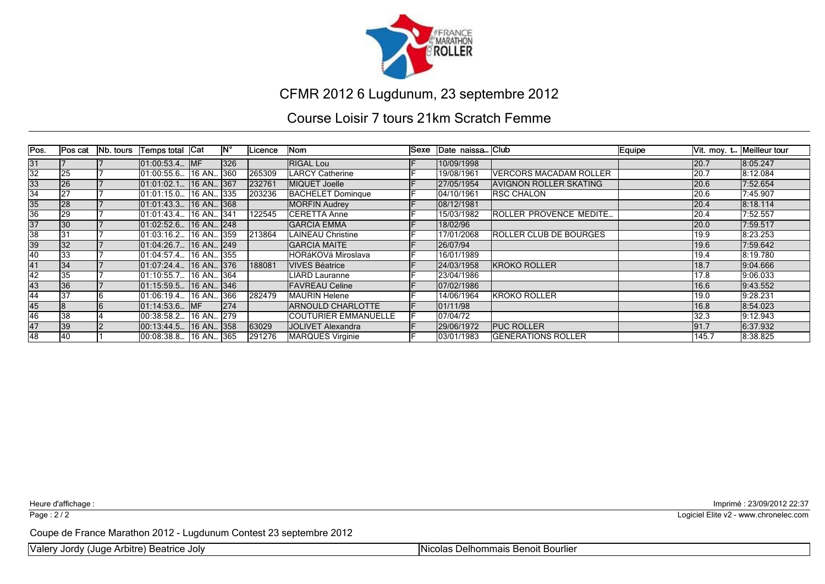

#### Course Loisir 7 tours 21km Scratch Femme

| Pos.            | Pos cat         | <b>Nb. tours</b> | Temps total Cat   |                   | ١N° | Licence | Nom                         | Sexe Date naissa Club |                               | Equipe |       | Vit. moy. t Meilleur tour |
|-----------------|-----------------|------------------|-------------------|-------------------|-----|---------|-----------------------------|-----------------------|-------------------------------|--------|-------|---------------------------|
| 31              |                 |                  | $[01:00:53.4]$ MF |                   | 326 |         | <b>RIGAL Lou</b>            | 10/09/1998            |                               |        | 20.7  | 8:05.247                  |
| $\overline{32}$ | 25              |                  | 01:00:55.6.       | 16 AN 360         |     | 265309  | <b>LARCY Catherine</b>      | 19/08/1961            | <b>VERCORS MACADAM ROLLER</b> |        | 20.7  | 8:12.084                  |
| 33              | 26              |                  | [01:01:02.1]      | 16 AN 367         |     | 232761  | MIQUET Joelle               | 27/05/1954            | <b>AVIGNON ROLLER SKATING</b> |        | 20.6  | 7:52.654                  |
| $\overline{34}$ | 127             |                  | 01:01:15.0.       | 16 AN <b>3</b> 35 |     | 203236  | <b>BACHELET Domingue</b>    | 104/10/1961           | <b>RSC CHALON</b>             |        | 20.6  | 7:45.907                  |
| 35              | 28              |                  | 101:01:43.3       | $16$ AN 368       |     |         | <b>MORFIN Audrey</b>        | 08/12/1981            |                               |        | 20.4  | 18:18.114                 |
| 36              | 29              |                  | l01:01:43.4       | 16 AN 341         |     | 122545  | ICERETTA Anne               | 15/03/1982            | ROLLER PROVENCE MEDITE        |        | 20.4  | 7:52.557                  |
| $\overline{37}$ | $\overline{30}$ |                  | [01:02:52.6]      | 16 AN 248         |     |         | <b>GARCIA EMMA</b>          | 18/02/96              |                               |        | 20.0  | 7:59.517                  |
| 38              | 131             |                  | 01:03:16.2        | 16 AN 359         |     | 213864  | <b>LAINEAU Christine</b>    | 17/01/2068            | ROLLER CLUB DE BOURGES        |        | 19.9  | 8:23.253                  |
| 39              | 32              |                  | 01:04:26.7        | $16$ AN 249       |     |         | <b>GARCIA MAITE</b>         | 26/07/94              |                               |        | 19.6  | 7:59.642                  |
| 40              | 33              |                  | 01:04:57.4        | 16 AN 355         |     |         | HORáKOVá Miroslava          | 16/01/1989            |                               |        | 19.4  | 8:19.780                  |
| 41              | 34              |                  | 101:07:24.4       | 16 AN 376         |     | 188081  | <b>VIVES Béatrice</b>       | 24/03/1958            | <b>KROKO ROLLER</b>           |        | 18.7  | 9:04.666                  |
| 42              | l35             |                  | [01:10:55.7]      | 16 AN 364         |     |         | LIARD Lauranne              | 23/04/1986            |                               |        | 17.8  | 9:06.033                  |
| 43              | 36              |                  | [01:15:59.5]      | 16 AN 346         |     |         | <b>FAVREAU Celine</b>       | 07/02/1986            |                               |        | 16.6  | 9:43.552                  |
| 44              | 37              |                  | l01:06:19.4       | 16 AN 366         |     | 282479  | MAURIN Helene               | 14/06/1964            | KROKO ROLLER                  |        | 19.0  | 9:28.231                  |
| 45              |                 |                  | [01:14:53.6]      | <b>IMF</b>        | 274 |         | ARNOULD CHARLOTTE           | 101/11/98             |                               |        | 16.8  | 8:54.023                  |
| 46              | 38              |                  | 00:38:58.2        | 16 AN 279         |     |         | <b>COUTURIER EMMANUELLE</b> | 07/04/72              |                               |        | 32.3  | 9:12.943                  |
| 47              | 39              |                  | [00:13:44.5]      | 16 AN 358         |     | 63029   | JOLIVET Alexandra           | 29/06/1972            | <b>PUC ROLLER</b>             |        | 91.7  | 6:37.932                  |
| 48              | 140             |                  | 00:08:38.8        | 16 AN 365         |     | 291276  | <b>MARQUES Virginie</b>     | 103/01/1983           | <b>GENERATIONS ROLLER</b>     |        | 145.7 | 8:38.825                  |

Page : 2/2

Heure d'affichage : Imprimé : 23/09/2012 22:37

Logiciel Elite v2 - www.chronelec.com

Coupe de France Marathon 2012 - Lugdunum Contest 23 septembre 2012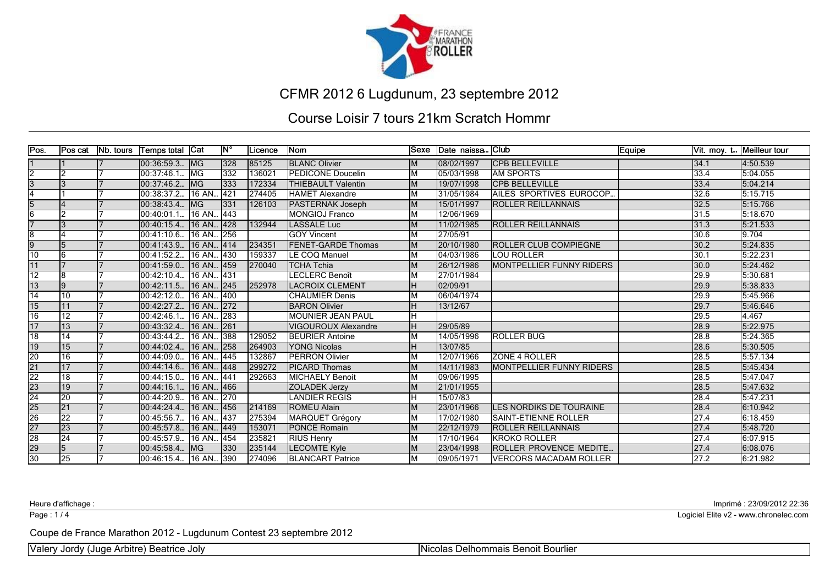

#### Course Loisir 7 tours 21km Scratch Hommr

| Pos.                               | Pos cat         | <b>Nb.</b> tours | ∣Temps total  Cat      |             | $\mathsf{IN}^{\circ}$ | ILicence | lNom                       | lSexe | Date naissa Club |                                  | Equipe |      | Vit. moy. t Meilleur tour |
|------------------------------------|-----------------|------------------|------------------------|-------------|-----------------------|----------|----------------------------|-------|------------------|----------------------------------|--------|------|---------------------------|
|                                    |                 |                  | [00:36:59.3]           | <b>IMG</b>  | 328                   | 85125    | <b>BLANC Olivier</b>       |       | 08/02/1997       | <b>ICPB BELLEVILLE</b>           |        | 34.1 | 4:50.539                  |
| $\overline{2}$                     | l2              |                  | 00:37:46.1             | lMG         | 1332                  | 136021   | PEDICONE Doucelin          |       | 05/03/1998       | <b>JAM SPORTS</b>                |        | 33.4 | 5:04.055                  |
| $\overline{3}$                     |                 |                  | 00:37:46.2.            | <b>IMG</b>  | 1333                  | 172334   | <b>THIEBAULT Valentin</b>  | M     | 19/07/1998       | <b>CPB BELLEVILLE</b>            |        | 33.4 | 5:04.214                  |
|                                    |                 |                  | l00:38:37.2            | 16 AN 421   |                       | 274405   | <b>HAMET Alexandre</b>     |       | 31/05/1984       | <b>AILES SPORTIVES EUROCOP.</b>  |        | 32.6 | 5:15.715                  |
| $\overline{5}$                     |                 |                  | 100:38:43.4            | lMG.        | 331                   | 126103   | <b>PASTERNAK Joseph</b>    | M     | 15/01/1997       | <b>IROLLER REILLANNAIS</b>       |        | 32.5 | 5:15.766                  |
| $\overline{6}$                     |                 |                  | $00:40:01.1$           | 16 AN       | $\sqrt{443}$          |          | <b>MONGIOJ Franco</b>      | М     | 12/06/1969       |                                  |        | 31.5 | 5:18.670                  |
|                                    |                 |                  | 00:40:15.4  16 AN  428 |             |                       | 132944   | <b>LASSALE Luc</b>         |       | 11/02/1985       | <b>ROLLER REILLANNAIS</b>        |        | 31.3 | 5:21.533                  |
| Ιø                                 |                 |                  | l00:41:10.6            | 16 AN 256   |                       |          | <b>GOY Vincent</b>         |       | 27/05/91         |                                  |        | 30.6 | 9.704                     |
| $\overline{9}$                     |                 |                  | 00:41:43.9.            | 16 AN 414   |                       | 234351   | <b>FENET-GARDE Thomas</b>  | M     | 20/10/1980       | <b>IROLLER CLUB COMPIEGNE</b>    |        | 30.2 | 5:24.835                  |
| $\overline{10}$                    |                 |                  | 00:41:52.2             | 16 AN 430   |                       | 159337   | <b>LE COQ Manuel</b>       |       | 04/03/1986       | <b>I</b> LOU ROLLER              |        | 30.1 | 5:22.231                  |
| 11                                 |                 |                  | 00:41:59.0.            | 16 AN 459   |                       | 270040   | <b>TCHA Tchia</b>          |       | 26/12/1986       | <b>MONTPELLIER FUNNY RIDERS</b>  |        | 30.0 | 5:24.462                  |
| $\overline{12}$                    | 18              |                  | 00:42:10.4             | 16 AN., 431 |                       |          | <b>ECLERC Benoît</b>       |       | 27/01/1984       |                                  |        | 29.9 | 5:30.681                  |
| $\overline{13}$                    | Ι9              |                  | $00:42:11.5$ .         | 16 AN., 245 |                       | 252978   | <b>LACROIX CLEMENT</b>     |       | 02/09/91         |                                  |        | 29.9 | 5:38.833                  |
| $\overline{14}$                    | 10              |                  | 00:42:12.0.            | 16 AN       | 400                   |          | <b>CHAUMIER Denis</b>      |       | 06/04/1974       |                                  |        | 29.9 | 5:45.966                  |
| 15                                 | 11              |                  | 00:42:27.2.            | 16 AN 272   |                       |          | <b>BARON Olivier</b>       |       | 13/12/67         |                                  |        | 29.7 | 5:46.646                  |
| $\overline{16}$                    | 12              |                  | 00:42:46.1             | 16 AN       | 283                   |          | <b>MOUNIER JEAN PAUL</b>   |       |                  |                                  |        | 29.5 | 4.467                     |
| 17                                 | $\overline{13}$ |                  | 00:43:32.4.            | 16 AN 261   |                       |          | <b>VIGOUROUX Alexandre</b> |       | 29/05/89         |                                  |        | 28.9 | 5:22.975                  |
| $\overline{18}$                    | 14              |                  | 00:43:44.2.            | 16 AN 388   |                       | 129052   | <b>BEURIER Antoine</b>     |       | 14/05/1996       | <b>ROLLER BUG</b>                |        | 28.8 | 5:24.365                  |
| $\overline{19}$                    | 15              |                  | 100:44:02.4            | 16 AN., 258 |                       | 264903   | <b>YONG Nicolas</b>        |       | 13/07/85         |                                  |        | 28.6 | 5:30.505                  |
| $\frac{20}{21}$                    | 16              |                  | 00:44:09.0.            | 16 AN 445   |                       | 132867   | <b>PERRON Olivier</b>      |       | 12/07/1966       | <b>ZONE 4 ROLLER</b>             |        | 28.5 | 5:57.134                  |
|                                    | 17              |                  | 100:44:14.6.           | 16 AN., 448 |                       | 299272   | <b>PICARD Thomas</b>       |       | 14/11/1983       | <b>IMONTPELLIER FUNNY RIDERS</b> |        | 28.5 | 5:45.434                  |
| $\overline{22}$                    | 18              |                  | 00:44:15.0             | 16 AN 441   |                       | 292663   | MICHAELY Benoit            |       | 09/06/1995       |                                  |        | 28.5 | 5:47.047                  |
| $\frac{1}{23}$ $\frac{23}{25}$     | 19              |                  | 00:44:16.1.            | 16 AN 466   |                       |          | ZOLADEK Jerzy              |       | 21/01/1955       |                                  |        | 28.5 | 5:47.632                  |
|                                    | 20              |                  | 00:44:20.9.            | 16 AN 270   |                       |          | <b>ANDIER REGIS</b>        |       | 15/07/83         |                                  |        | 28.4 | 5:47.231                  |
|                                    | $\overline{21}$ |                  | 00:44:24.4             | 16 AN 456   |                       | 214169   | <b>ROMEU Alain</b>         |       | 23/01/1966       | <b>LES NORDIKS DE TOURAINE</b>   |        | 28.4 | 6:10.942                  |
| $\overline{26}$                    | $\overline{22}$ |                  | 00:45:56.7.            | 16 AN 437   |                       | 275394   | MARQUET Grégory            | ΙM    | 17/02/1980       | <b>I</b> SAINT-ETIENNE ROLLER    |        | 27.4 | 6:18.459                  |
| 27                                 | 23              |                  | 00:45:57.8.            | 16 AN 449   |                       | 153071   | <b>PONCE Romain</b>        |       | 22/12/1979       | <b>IROLLER REILLANNAIS</b>       |        | 27.4 | 5:48.720                  |
| $\frac{28}{28}$<br>$\frac{29}{30}$ | 24              |                  | 00:45:57.9.            | 16 AN 454   |                       | 235821   | <b>RIUS Henry</b>          |       | 17/10/1964       | lkroko roller                    |        | 27.4 | 6:07.915                  |
|                                    |                 |                  | 00:45:58.4.            | <b>IMG</b>  | 330                   | 235144   | <b>LECOMTE Kyle</b>        |       | 23/04/1998       | <b>ROLLER PROVENCE MEDITE</b>    |        | 27.4 | 6:08.076                  |
|                                    | 25              |                  | 00:46:15.4  16 AN  390 |             |                       | 274096   | <b>BLANCART</b> Patrice    |       | 09/05/1971       | <u>IVERCORS MACADAM ROLLER</u>   |        | 27.2 | 6:21.982                  |

Page : 1/4

Heure d'affichage : Imprimé : 23/09/2012 22:36

Logiciel Elite v2 - www.chronelec.com

Coupe de France Marathon 2012 - Lugdunum Contest 23 septembre 2012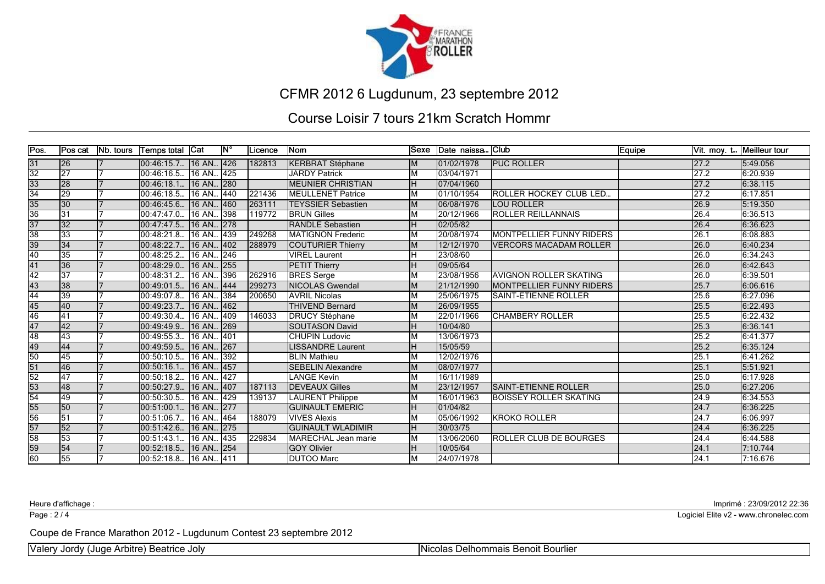

#### Course Loisir 7 tours 21km Scratch Hommr

| Pos.                               | Pos cat         | Nb. tours | ∣Temps total  Cat      |             | <b>IN°</b>       | <b>Licence</b> | lNom                      | Sexe | Date naissa Club |                                 | Equipe |                   | Vit. moy. t Meilleur tour |
|------------------------------------|-----------------|-----------|------------------------|-------------|------------------|----------------|---------------------------|------|------------------|---------------------------------|--------|-------------------|---------------------------|
| $\frac{31}{32}$ $\frac{32}{33}$    | 26              |           | [00:46:15.7]           | 16 AN 426   |                  | 182813         | <b>KERBRAT Stéphane</b>   |      | 01/02/1978       | <b>PUC ROLLER</b>               |        | 27.2              | 5:49.056                  |
|                                    | 27              |           | 00:46:16.5             | 16 AN       | 425              |                | <b>JARDY Patrick</b>      |      | 03/04/1971       |                                 |        | 27.2              | 6:20.939                  |
|                                    | 28              |           | 00:46:18.1.            | 16 AN 280   |                  |                | <b>MEUNIER CHRISTIAN</b>  |      | 07/04/1960       |                                 |        | 27.2              | 6:38.115                  |
| $\overline{34}$                    | 29              |           | 00:46:18.5             | 16 AN 440   |                  | 221436         | <b>IMEULLENET Patrice</b> |      | 01/10/1954       | IROLLER HOCKEY CLUB LED         |        | 27.2              | 6:17.851                  |
| $\frac{35}{36}$                    | 30              |           | 100:46:45.6            | 16 AN       | 1460             | 263111         | <b>TEYSSIER Sebastien</b> | M    | 06/08/1976       | <b>LOU ROLLER</b>               |        | 26.9              | 5:19.350                  |
|                                    | $\overline{31}$ |           | 00:47:47.0.            | 16 AN 398   |                  | 119772         | <b>BRUN Gilles</b>        |      | 20/12/1966       | <b>ROLLER REILLANNAIS</b>       |        | 26.4              | 6:36.513                  |
| $\frac{37}{38}$<br>$\frac{39}{40}$ | 32              |           | 00:47:47.5.            | 16 AN., 278 |                  |                | <b>RANDLE Sebastien</b>   |      | 02/05/82         |                                 |        | 26.4              | 6:36.623                  |
|                                    | 33              |           | l00:48:21.8            | 16 AN 439   |                  | 249268         | MATIGNON Frederic         |      | 20/08/1974       | <b>MONTPELLIER FUNNY RIDERS</b> |        | 26.1              | 6:08.883                  |
|                                    | 34              |           | 100:48:22.7            | 16 AN., 402 |                  | 288979         | <b>COUTURIER Thierry</b>  | M    | 12/12/1970       | <b>VERCORS MACADAM ROLLER</b>   |        | 26.0              | 6:40.234                  |
|                                    | 35              |           | 00:48:25.2             | 16 AN 246   |                  |                | <b>VIREL Laurent</b>      |      | 23/08/60         |                                 |        | 26.0              | 6:34.243                  |
| 41                                 | $\overline{36}$ |           | 00:48:29.0             | 16 AN 255   |                  |                | <b>PETIT Thierry</b>      |      | 09/05/64         |                                 |        | 26.0              | 6:42.643                  |
| $\overline{42}$                    | $\overline{37}$ |           | 00:48:31.2.            | 16 AN 396   |                  | 262916         | <b>BRES</b> Serge         |      | 23/08/1956       | <b>AVIGNON ROLLER SKATING</b>   |        | 26.0              | 6:39.501                  |
| $\frac{43}{44}$                    | 38              |           | 00:49:01.5             | 16 AN 444   |                  | 299273         | NICOLAS Gwendal           |      | 21/12/1990       | <b>MONTPELLIER FUNNY RIDERS</b> |        | 25.7              | 6:06.616                  |
|                                    | 39              |           | 00:49:07.8.            | 16 AN       | 384              | 200650         | <b>AVRIL Nicolas</b>      |      | 25/06/1975       | <b>I</b> SAINT-ETIENNE ROLLER   |        | 25.6              | 6:27.096                  |
| $\frac{45}{46}$                    | 40              |           | 00:49:23.7.            | 16 AN 462   |                  |                | <b>THIVEND Bernard</b>    |      | 26/09/1955       |                                 |        | 25.5              | 6:22.493                  |
|                                    | 41              |           | 00:49:30.4             | 16 AN       | 1409             | 146033         | <b>DRUCY Stéphane</b>     |      | 22/01/1966       | <b>ICHAMBERY ROLLER</b>         |        | 25.5              | 6:22.432                  |
| 47                                 | 42              |           | 00:49:49.9.            | 16 AN 269   |                  |                | <b>SOUTASON David</b>     |      | 10/04/80         |                                 |        | 25.3              | 6:36.141                  |
| 48                                 | 43              |           | 00:49:55.3.            | 16 AN 401   |                  |                | <b>CHUPIN Ludovic</b>     |      | 13/06/1973       |                                 |        | 25.2              | 6:41.377                  |
| $\frac{49}{50}$                    | 44              |           | 00:49:59.5.            | 16 AN.      | 267              |                | <b>ISSANDRE Laurent</b>   |      | 15/05/59         |                                 |        | 25.2              | 6:35.124                  |
|                                    | 45              |           | 00:50:10.5.            | 16 AN       | 392              |                | <b>BLIN Mathieu</b>       | M    | 12/02/1976       |                                 |        | 25.1              | 6:41.262                  |
| 51                                 | 46              |           | 00:50:16.1             | 16 AN 457   |                  |                | <b>SEBELIN Alexandre</b>  | M    | 08/07/1977       |                                 |        | 25.1              | 5:51.921                  |
| $\overline{52}$                    | 47              |           | 00:50:18.2             | 16 AN       | $\overline{427}$ |                | <b>LANGE Kevin</b>        | M    | 16/11/1989       |                                 |        | 25.0              | 6:17.928                  |
| $\frac{53}{54}$                    | 48              |           | 00:50:27.9.            | 16 AN.      | 407              | 187113         | <b>DEVEAUX Gilles</b>     |      | 23/12/1957       | <b>SAINT-ETIENNE ROLLER</b>     |        | 25.0              | 6:27.206                  |
|                                    | 49              |           | 00:50:30.5.            | 16 AN 429   |                  | 139137         | <b>LAURENT Philippe</b>   |      | 16/01/1963       | BOISSEY ROLLER SKATING          |        | 24.9              | 6:34.553                  |
| $\frac{55}{56}$                    | 50              |           | 00:51:00.1.            | 16 AN 277   |                  |                | <b>GUINAULT EMERIC</b>    |      | 01/04/82         |                                 |        | 24.7              | 6:36.225                  |
|                                    | $\overline{51}$ |           | 00:51:06.7.            | 16 AN., 464 |                  | 188079         | <b>VIVES Alexis</b>       |      | 05/06/1992       | <b>KROKO ROLLER</b>             |        | 24.7              | 6:06.997                  |
| 57                                 | 52              |           | 100:51:42.6            | 16 AN 275   |                  |                | <b>GUINAULT WLADIMIR</b>  |      | 30/03/75         |                                 |        | 24.4              | 6:36.225                  |
| $\overline{58}$                    | 53              |           | 00:51:43.1.            | 16 AN., 435 |                  | 229834         | MARECHAL Jean marie       | Iм   | 13/06/2060       | <b>ROLLER CLUB DE BOURGES</b>   |        | $\overline{24.4}$ | 6:44.588                  |
| $\frac{59}{60}$                    | 54              |           | 00:52:18.5             | 16 AN 254   |                  |                | <b>GOY Olivier</b>        |      | 10/05/64         |                                 |        | 24.1              | 7:10.744                  |
|                                    | 55              |           | 00:52:18.8  16 AN  411 |             |                  |                | <b>DUTOO Marc</b>         |      | 24/07/1978       |                                 |        | 24.1              | 7:16.676                  |

Page : 2/4

Heure d'affichage : Imprimé : 23/09/2012 22:36

Logiciel Elite v2 - www.chronelec.com

Coupe de France Marathon 2012 - Lugdunum Contest 23 septembre 2012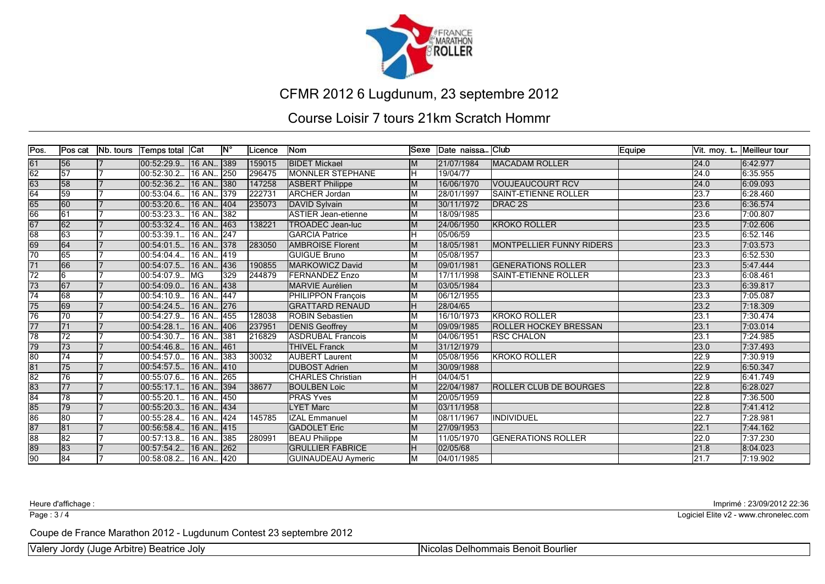

#### Course Loisir 7 tours 21km Scratch Hommr

| Pos.                                                 | lPos cat        | <b>Nb.</b> tours | Temps total Cat |             | $\overline{\mathsf{N}^{\circ}}$ | ILicence | <b>Nom</b>                 | lSexe | Date naissa Club |                                 | Equipe |      | Vit. moy. t Meilleur tour |
|------------------------------------------------------|-----------------|------------------|-----------------|-------------|---------------------------------|----------|----------------------------|-------|------------------|---------------------------------|--------|------|---------------------------|
| 61                                                   | 56              |                  | 00:52:29.9      | 16 AN 389   |                                 | 159015   | <b>BIDET Mickael</b>       |       | 21/07/1984       | <b>MACADAM ROLLER</b>           |        | 24.0 | 6:42.977                  |
| $\frac{62}{63}$                                      | $\overline{57}$ |                  | 00:52:30.2.     | 16 AN., 250 |                                 | 296475   | <b>MONNLER STEPHANE</b>    |       | 19/04/77         |                                 |        | 24.0 | 6:35.955                  |
|                                                      | 58              |                  | 00:52:36.2.     | 16 AN 380   |                                 | 147258   | <b>ASBERT Philippe</b>     | M     | 16/06/1970       | <b>VOUJEAUCOURT RCV</b>         |        | 24.0 | 6:09.093                  |
| 64                                                   | 59              |                  | 00:53:04.6.     | 16 AN 1379  |                                 | 222731   | <b>ARCHER Jordan</b>       |       | 28/01/1997       | <b>SAINT-ETIENNE ROLLER</b>     |        | 23.7 | 6:28.460                  |
| $\frac{65}{66}$                                      | 60              |                  | 100:53:20.6     | 16 AN., 404 |                                 | 235073   | DAVID Sylvain              | M     | 30/11/1972       | <b>IDRAC 2S</b>                 |        | 23.6 | 6:36.574                  |
|                                                      | 61              |                  | 00:53:23.3.     | 16 AN 382   |                                 |          | <b>ASTIER Jean-etienne</b> | ΙM    | 18/09/1985       |                                 |        | 23.6 | 7:00.807                  |
| 67                                                   | 62              |                  | 00:53:32.4      | 16 AN 463   |                                 | 138221   | <b>TROADEC Jean-luc</b>    |       | 24/06/1950       | <b>IKROKO ROLLER</b>            |        | 23.5 | 7:02.606                  |
| $\overline{68}$                                      | 63              |                  | 00:53:39.1.     | 16 AN 247   |                                 |          | <b>GARCIA Patrice</b>      |       | 05/06/59         |                                 |        | 23.5 | 6:52.146                  |
| $\frac{69}{70}$                                      | 64              |                  | 00:54:01.5.     | 16 AN 378   |                                 | 283050   | <b>AMBROISE Florent</b>    | M     | 18/05/1981       | <b>MONTPELLIER FUNNY RIDERS</b> |        | 23.3 | 7:03.573                  |
|                                                      | 65              |                  | 00:54:04.4.     | 16 AN       | . 1419                          |          | <b>GUIGUE Bruno</b>        |       | 05/08/1957       |                                 |        | 23.3 | 6:52.530                  |
| $\overline{71}$                                      | 66              |                  | 00:54:07.5.     | 16 AN       | 436                             | 190855   | MARKOWICZ David            |       | 09/01/1981       | <b>GENERATIONS ROLLER</b>       |        | 23.3 | 5:47.444                  |
| $\overline{72}$                                      | 16              |                  | 00:54:07.9.     | <b>IMG</b>  | 329                             | 244879   | <b>FERNANDEZ Enzo</b>      |       | 17/11/1998       | <b>ISAINT-ETIENNE ROLLER</b>    |        | 23.3 | 6:08.461                  |
| $\overline{73}$                                      | $\overline{67}$ |                  | 00:54:09.0.     | 16 AN.      | 1438                            |          | <b>MARVIE Aurélien</b>     |       | 03/05/1984       |                                 |        | 23.3 | 6:39.817                  |
| $\overline{74}$                                      | 68              |                  | 00:54:10.9.     | 16 AN       | $ 447\rangle$                   |          | <b>PHILIPPON François</b>  |       | 06/12/1955       |                                 |        | 23.3 | 7:05.087                  |
| 75                                                   | 69              |                  | 00:54:24.5.     | 16 AN 276   |                                 |          | <b>GRATTARD RENAUD</b>     |       | 28/04/65         |                                 |        | 23.2 | 7:18.309                  |
| $\overline{76}$                                      | 70              |                  | 00:54:27.9.     | 16 AN       | 455                             | 128038   | <b>ROBIN Sebastien</b>     |       | 16/10/1973       | IKROKO ROLLER                   |        | 23.1 | 7:30.474                  |
| $\overline{77}$                                      | 71              |                  | 00:54:28.1.     | 16 AN 406   |                                 | 237951   | <b>DENIS Geoffrey</b>      |       | 09/09/1985       | <b>ROLLER HOCKEY BRESSAN</b>    |        | 23.1 | 7:03.014                  |
| 78                                                   | $\overline{72}$ |                  | 00:54:30.7      | 16 AN 381   |                                 | 216829   | <b>ASDRUBAL Francois</b>   |       | 04/06/1951       | <b>RSC CHALON</b>               |        | 23.1 | 7:24.985                  |
| $\overline{79}$                                      | 73              |                  | 00:54:46.8      | 16 AN       | 461                             |          | <b>THIVEL Franck</b>       | M     | 31/12/1979       |                                 |        | 23.0 | 7:37.493                  |
| $\frac{80}{81}$                                      | 74              |                  | 00:54:57.0.     | 16 AN       | 383                             | 30032    | <b>AUBERT Laurent</b>      |       | 05/08/1956       | <b>IKROKO ROLLER</b>            |        | 22.9 | 7:30.919                  |
|                                                      | 75              |                  | 00:54:57.5.     | 16 AN 410   |                                 |          | <b>DUBOST Adrien</b>       |       | 30/09/1988       |                                 |        | 22.9 | 6:50.347                  |
| $\overline{82}$                                      | 76              |                  | 00:55:07.6.     | 16 AN 265   |                                 |          | <b>CHARLES Christian</b>   |       | 04/04/51         |                                 |        | 22.9 | 6:41.749                  |
| $\frac{83}{84}$                                      | 77              |                  | 00:55:17.1.     | 16 AN 394   |                                 | 38677    | <b>BOULBEN Loic</b>        |       | 22/04/1987       | <b>ROLLER CLUB DE BOURGES</b>   |        | 22.8 | 6:28.027                  |
|                                                      | 78              |                  | 00:55:20.1      | 16 AN       | 1450                            |          | <b>PRAS Yves</b>           |       | 20/05/1959       |                                 |        | 22.8 | 7:36.500                  |
| $\overline{85}$                                      | 79              |                  | 00:55:20.3.     | 16 AN., 434 |                                 |          | <b>LYET Marc</b>           |       | 03/11/1958       |                                 |        | 22.8 | 7:41.412                  |
| $\overline{86}$                                      | 80              |                  | 00:55:28.4      | 16 AN 424   |                                 | 145785   | <b>IZAL Emmanuel</b>       |       | 08/11/1967       | IINDIVIDUEL                     |        | 22.7 | 7:28.981                  |
| $\frac{87}{88}$                                      | 81              |                  | 00:56:58.4.     | 16 AN 415   |                                 |          | <b>GADOLET Eric</b>        | M     | 27/09/1953       |                                 |        | 22.1 | 7:44.162                  |
|                                                      | 82              |                  | 00:57:13.8.     | 16 AN       | 385                             | 280991   | <b>BEAU Philippe</b>       |       | 11/05/1970       | <b>GENERATIONS ROLLER</b>       |        | 22.0 | 7:37.230                  |
| $\begin{array}{c}\n 89 \\ \hline\n 90\n \end{array}$ | $\overline{83}$ |                  | 00:57:54.2      | 16 AN 262   |                                 |          | <b>GRULLIER FABRICE</b>    |       | 02/05/68         |                                 |        | 21.8 | 8:04.023                  |
|                                                      | 84              |                  | 00:58:08.2      | 16 AN 420   |                                 |          | <b>GUINAUDEAU Aymeric</b>  |       | 04/01/1985       |                                 |        | 21.7 | 7:19.902                  |

Page : 3/4

Heure d'affichage : Imprimé : 23/09/2012 22:36

Logiciel Elite v2 - www.chronelec.com

Coupe de France Marathon 2012 - Lugdunum Contest 23 septembre 2012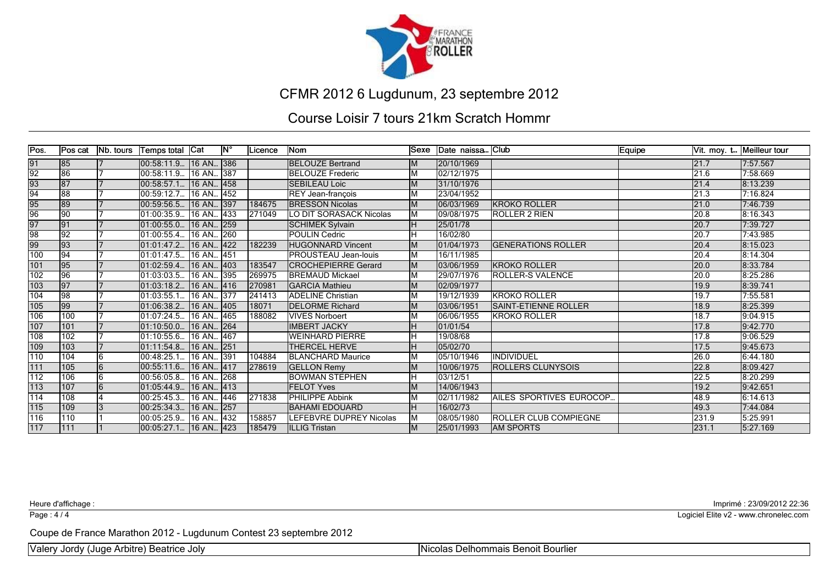

#### Course Loisir 7 tours 21km Scratch Hommr

| Pos.             | Pos cat         | Nb. tours | Temps total   Cat        |           | $\mathsf{IN}^{\circ}$ | <b>Licence</b>  | Nom                            |    | Sexe Date naissa Club |                              | Equipe |       | Vit. moy. t Meilleur tour |
|------------------|-----------------|-----------|--------------------------|-----------|-----------------------|-----------------|--------------------------------|----|-----------------------|------------------------------|--------|-------|---------------------------|
| 91               | 85              |           | 00:58:11.9   16 AN   386 |           |                       |                 | <b>BELOUZE Bertrand</b>        |    | 20/10/1969            |                              |        | 21.7  | 7:57.567                  |
| $\overline{92}$  | 86              |           | 100:58:11.9              | 16 AN 387 |                       |                 | <b>BELOUZE Frederic</b>        | м  | 02/12/1975            |                              |        | 21.6  | 7:58.669                  |
| $\frac{93}{94}$  | 87              |           | 00:58:57.1.              | 16 AN     | . 458                 |                 | <b>SEBILEAU Loic</b>           |    | 31/10/1976            |                              |        | 21.4  | 8:13.239                  |
|                  | 88              |           | 00:59:12.7               | 16 AN 452 |                       |                 | REY Jean-françois              |    | 23/04/1952            |                              |        | 21.3  | 7:16.824                  |
| $\frac{95}{96}$  | 89              |           | 00:59:56.5.              | 16 AN 397 |                       | 184675          | <b>BRESSON Nicolas</b>         |    | 06/03/1969            | <b>KROKO ROLLER</b>          |        | 21.0  | 7:46.739                  |
|                  | 90              |           | 01:00:35.9.              | 16 AN 433 |                       | $\sqrt{271049}$ | LO DIT SORASACK Nicolas        | Iм | 09/08/1975            | <b>IROLLER 2 RIEN</b>        |        | 20.8  | 8:16.343                  |
| 97               | 91              |           | 01:00:55.0.              | 16 AN 259 |                       |                 | <b>SCHIMEK Sylvain</b>         |    | 25/01/78              |                              |        | 20.7  | 7:39.727                  |
| 98               | $\overline{92}$ |           | 01:00:55.4               | 16 AN 260 |                       |                 | <b>POULIN Cedric</b>           |    | 16/02/80              |                              |        | 20.7  | 7:43.985                  |
| 99               | 93              |           | 01:01:47.2               | 16 AN 422 |                       | 182239          | <b>HUGONNARD Vincent</b>       |    | 01/04/1973            | <b>IGENERATIONS ROLLER</b>   |        | 20.4  | 8:15.023                  |
| 100              | 94              |           | 01:01:47.5               | 16 AN 451 |                       |                 | PROUSTEAU Jean-louis           | Iм | 16/11/1985            |                              |        | 20.4  | 8:14.304                  |
| 101              | 95              |           | 01:02:59.4.              | 16 AN     | . 403                 | 183547          | <b>CROCHEPIERRE Gerard</b>     | lМ | 03/06/1959            | <b>IKROKO ROLLER</b>         |        | 20.0  | 8:33.784                  |
| 102              | 96              |           | 01:03:03.5.              | 16 AN 395 |                       | 269975          | <b>BREMAUD Mickael</b>         |    | 29/07/1976            | <b>ROLLER-S VALENCE</b>      |        | 20.0  | 8:25.286                  |
| 103              | 97              |           | 01:03:18.2.              | 16 AN 416 |                       | 270981          | <b>GARCIA Mathieu</b>          |    | 02/09/1977            |                              |        | 19.9  | 8:39.741                  |
| 104              | 98              |           | 01:03:55.1               | 16 AN 377 |                       | 241413          | <b>ADELINE Christian</b>       |    | 19/12/1939            | <b>KROKO ROLLER</b>          |        | 19.7  | 7:55.581                  |
| 105              | 99              |           | 01:06:38.2               | 16 AN 405 |                       | 18071           | <b>DELORME Richard</b>         |    | 03/06/1951            | <b>ISAINT-ETIENNE ROLLER</b> |        | 18.9  | 8:25.399                  |
| 106              | 100             |           | 01:07:24.5.              | 16 AN     | 465                   | 188082          | <b>VIVES Norboert</b>          |    | 06/06/1955            | lkroko roller                |        | 18.7  | 9:04.915                  |
| 107              | 101             |           | 01:10:50.0.              | 16 AN 264 |                       |                 | <b>IMBERT JACKY</b>            |    | 01/01/54              |                              |        | 17.8  | 9:42.770                  |
| 108              | 102             |           | 01:10:55.6.              | 16 AN 467 |                       |                 | <b>WEINHARD PIERRE</b>         |    | 19/08/68              |                              |        | 17.8  | 9:06.529                  |
| 109              | 103             |           | 01:11:54.8.              | 16 AN 251 |                       |                 | <b>THERCEL HERVE</b>           |    | 05/02/70              |                              |        | 17.5  | 9:45.673                  |
| 110              | 104             | 16.       | 00:48:25.1               | 16 AN 391 |                       | 104884          | <b>BLANCHARD Maurice</b>       |    | 05/10/1946            | <b>INDIVIDUEL</b>            |        | 26.0  | 6:44.180                  |
| 111              | 105             |           | 00:55:11.6.              | 16 AN 417 |                       | 278619          | <b>GELLON Remy</b>             |    | 10/06/1975            | <b>ROLLERS CLUNYSOIS</b>     |        | 22.8  | 8:09.427                  |
| $\overline{112}$ | 106             | 6         | 00:56:05.8.              | 16 AN 268 |                       |                 | <b>BOWMAN STEPHEN</b>          |    | 03/12/51              |                              |        | 22.5  | 8:20.299                  |
| 113              | 107             | 6         | 101:05:44.9              | 16 AN 413 |                       |                 | <b>FELOT Yves</b>              |    | 14/06/1943            |                              |        | 19.2  | 9:42.651                  |
| 114              | 108             |           | 00:25:45.3.              | 16 AN 446 |                       | 271838          | <b>PHILIPPE Abbink</b>         |    | 02/11/1982            | AILES SPORTIVES EUROCOP      |        | 48.9  | 6:14.613                  |
| $\boxed{115}$    | 109             |           | 00:25:34.3               | 16 AN 257 |                       |                 | <b>BAHAMI EDOUARD</b>          |    | 16/02/73              |                              |        | 49.3  | 7:44.084                  |
| 116              | 110             |           | 00:05:25.9               | 16 AN 432 |                       | 158857          | <b>LEFEBVRE DUPREY Nicolas</b> |    | 08/05/1980            | <b>ROLLER CLUB COMPIEGNE</b> |        | 231.9 | 5:25.991                  |
| 117              | 1111            |           | 00:05:27.1 16 AN 423     |           |                       | 185479          | ILLLIG Tristan                 |    | 25/01/1993            | <b>JAM SPORTS</b>            |        | 231.1 | 5:27.169                  |

Page : 4/4

Heure d'affichage : Imprimé : 23/09/2012 22:36

Logiciel Elite v2 - www.chronelec.com

Coupe de France Marathon 2012 - Lugdunum Contest 23 septembre 2012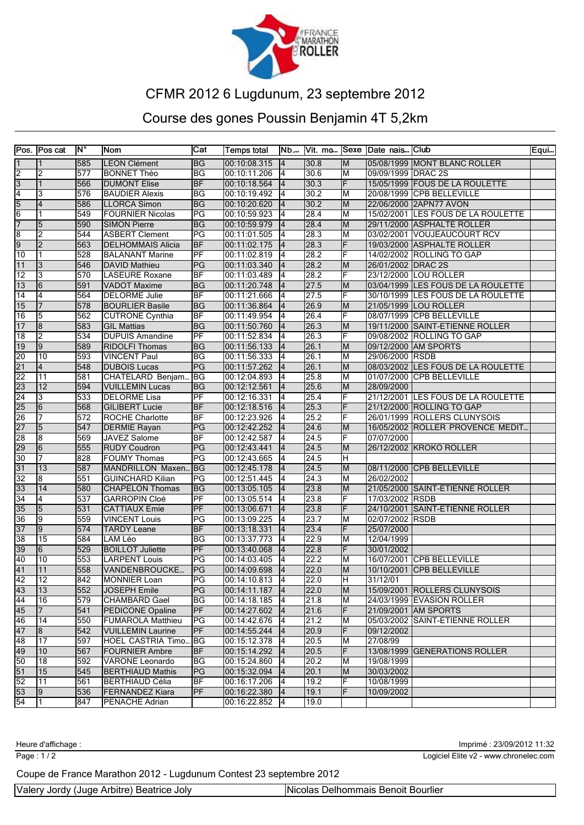

## Course des gones Poussin Benjamin 4T 5,2km

|                 | Pos. Pos cat    | lΝ° | Nom                      | Cat                        | Temps total    |                 |      |    | Nb Vit. mo Sexe Date nais Club |                                    | Equi |
|-----------------|-----------------|-----|--------------------------|----------------------------|----------------|-----------------|------|----|--------------------------------|------------------------------------|------|
| 1               |                 | 585 | <b>LEON Clément</b>      | BG                         | 00:10:08.315   | 14              | 30.8 | IМ |                                | 05/08/1999 MONT BLANC ROLLER       |      |
| 2               | 2               | 577 | <b>BONNET Théo</b>       | ΒG                         | 00:10:11.206   | $\overline{1}4$ | 30.6 | ĪМ | 09/09/1999 DRAC 2S             |                                    |      |
| $\overline{3}$  | $\mathbf{1}$    | 566 | <b>DUMONT Elise</b>      | <b>BF</b>                  | 00:10:18.564   | $\overline{4}$  | 30.3 | F  |                                | 15/05/1999 FOUS DE LA ROULETTE     |      |
| $\overline{4}$  | 3               | 576 | <b>BAUDIER Alexis</b>    | ΒG                         | 00:10:19.492   | 4               | 30.2 | M  |                                | 20/08/1999 CPB BELLEVILLE          |      |
| $\overline{5}$  | 4               | 586 | LLORCA Simon             | ΒG                         | 00:10:20.620   | 14              | 30.2 | M  |                                | 22/06/2000 2APN77 AVON             |      |
| 6               | 1               | 549 | <b>FOURNIER Nicolas</b>  | PG                         | 00:10:59.923   | 4               | 28.4 | M  |                                | 15/02/2001 LES FOUS DE LA ROULETTE |      |
| 7               | $\overline{5}$  | 590 | <b>SIMON Pierre</b>      | <b>BG</b>                  | 00:10:59.979   | $\overline{4}$  | 28.4 | M  |                                | 29/11/2000 ASPHALTE ROLLER         |      |
| 8               | $\overline{2}$  | 544 | <b>ASBERT Clement</b>    | PG                         | 00:11:01.505   | 4               | 28.3 | lм |                                | 03/02/2001 VOUJEAUCOURT RCV        |      |
| 9               | 2               | 563 | <b>DELHOMMAIS Alicia</b> | <b>BF</b>                  | 00:11:02.175   | 4               | 28.3 | F  |                                | 19/03/2000 ASPHALTE ROLLER         |      |
| $\overline{10}$ | 1               | 528 | <b>BALANANT Marine</b>   | PF                         | 00:11:02.819   | 4               | 28.2 | F  |                                | 14/02/2002 ROLLING TO GAP          |      |
| $\overline{11}$ | 3               | 546 | <b>DAVID Mathieu</b>     | PG                         | 00:11:03.340   | $\overline{4}$  | 28.2 | M  | 26/01/2002 DRAC 2S             |                                    |      |
| 12              | 3               | 570 | LASEURE Roxane           | ΒF                         | 00:11:03.489   | 14              | 28.2 | F  |                                | 23/12/2000 LOU ROLLER              |      |
| $\overline{13}$ | 6               | 591 | <b>VADOT</b> Maxime      | BG                         | 00:11:20.748   | 4               | 27.5 | Iм |                                | 03/04/1999 LES FOUS DE LA ROULETTE |      |
| $\sqrt{14}$     | 4               | 564 | DELORME Julie            | BF                         | 00:11:21.666   | 4               | 27.5 | F  |                                | 30/10/1999 LES FOUS DE LA ROULETTE |      |
| 15              | 7               | 578 | <b>BOURLIER Basile</b>   | ΒG                         | 00:11:36.864   | $\overline{4}$  | 26.9 | M  |                                | 21/05/1999 LOU ROLLER              |      |
| 16              | 5               | 562 | <b>CUTRONE Cynthia</b>   | ΒF                         | 00:11:49.954   | 4               | 26.4 | F  |                                | 08/07/1999 CPB BELLEVILLE          |      |
| $\overline{17}$ | 8               | 583 | <b>GIL Mattias</b>       | ΒG                         | 00:11:50.760   | 4               | 26.3 | M  |                                | 19/11/2000 SAINT-ETIENNE ROLLER    |      |
| 18              | 2               | 534 | <b>DUPUIS Amandine</b>   | $\overline{PF}$            | 00:11:52.834   | 4               | 26.3 | F  |                                | 09/08/2002 ROLLING TO GAP          |      |
| $\overline{19}$ | 9               | 589 | <b>RIDOLFI Thomas</b>    | <b>BG</b>                  | 00:11:56.133   | $\overline{4}$  | 26.1 | M  |                                | 09/12/2000 AM SPORTS               |      |
| $\overline{20}$ | 10              | 593 | <b>VINCENT Paul</b>      | BG                         | 00:11:56.333   | 14              | 26.1 | M  | 29/06/2000 RSDB                |                                    |      |
| $\overline{21}$ | 4               | 548 | <b>DUBOIS Lucas</b>      | PG                         | 00:11:57.262   | 4               | 26.1 | M  |                                | 08/03/2002 LES FOUS DE LA ROULETTE |      |
| $\overline{22}$ | $\overline{11}$ | 581 | CHATELARD Benjam         | <b>BG</b>                  | 00:12:04.893   | 14              | 25.8 | M  |                                | 01/07/2000 CPB BELLEVILLE          |      |
| 23              | $ 12\rangle$    | 594 | <b>VUILLEMIN Lucas</b>   | ΒG                         | 00:12:12.561   | 14              | 25.6 | M  | 28/09/2000                     |                                    |      |
| 24              | 3               | 533 | <b>DELORME Lisa</b>      | $\overline{PF}$            | 00:12:16.331   | 14              | 25.4 | F  |                                | 21/12/2001 LES FOUS DE LA ROULETTE |      |
| 25              | 6               | 568 | <b>GILIBERT Lucie</b>    | <b>BF</b>                  | 00:12:18.516   | 4               | 25.3 | F  |                                | 21/12/2000 ROLLING TO GAP          |      |
| 26              | 7               | 572 | <b>ROCHE Charlotte</b>   | ΒF                         | 00:12:23.926   | 4               | 25.2 | F  |                                | 26/01/1999 ROLLERS CLUNYSOIS       |      |
| 27              | 5               | 547 | <b>DERMIE Rayan</b>      | PG                         | 00:12:42.252   | 14              | 24.6 | lМ |                                | 16/05/2002 ROLLER PROVENCE MEDIT   |      |
| 28              | 8               | 569 | JAVEZ Salome             | <b>BF</b>                  | 00:12:42.587   | 14              | 24.5 | F  | 07/07/2000                     |                                    |      |
| 29              | 6               | 555 | <b>RUDY Coudron</b>      | PG                         | 00:12:43.441   | $\overline{4}$  | 24.5 | M  |                                | 26/12/2002 KROKO ROLLER            |      |
| $\overline{30}$ | 7               | 828 | <b>FOUMY Thomas</b>      | PG                         | 00:12:43.665   | 4               | 24.5 | H  |                                |                                    |      |
| $\overline{31}$ | 13              | 587 | MANDRILLON Maxen         | BG                         | 00:12:45.178   | 4               | 24.5 | M  |                                | 08/11/2000 CPB BELLEVILLE          |      |
| $\overline{32}$ | 18              | 551 | <b>GUINCHARD Kilian</b>  | PG                         | 00:12:51.445   | 14              | 24.3 | M  | 26/02/2002                     |                                    |      |
| 33              | 14              | 580 | <b>CHAPELON Thomas</b>   | BG                         | 00:13:05.105   | 14              | 23.8 | M  |                                | 21/05/2000 SAINT-ETIENNE ROLLER    |      |
| $\overline{34}$ | 4               | 537 | <b>GARROPIN Cloé</b>     | PF                         | 00:13:05.514   | 4               | 23.8 | F  | 17/03/2002 RSDB                |                                    |      |
| 35              | 5               | 531 | <b>CATTIAUX Emie</b>     | PF                         | 00:13:06.671   | 14              | 23.8 | F  |                                | 24/10/2001 SAINT-ETIENNE ROLLER    |      |
| 36              | 9               | 559 | <b>VINCENT Louis</b>     | PG                         | 00:13:09.225   | 4               | 23.7 | M  | 02/07/2002 RSDB                |                                    |      |
| 37              | 19              | 574 | <b>TARDY Leane</b>       | <b>BF</b>                  | 00:13:18.331   | $\overline{4}$  | 23.4 | F  | 25/07/2000                     |                                    |      |
| 38              | 15              | 584 | LAM Léo                  | <b>BG</b>                  | 00:13:37.773   | 4               | 22.9 | M  | 12/04/1999                     |                                    |      |
| $\overline{39}$ | $\overline{6}$  | 529 | <b>BOILLOT Juliette</b>  | PF                         | 00:13:40.068   | 4               | 22.8 | F  | 30/01/2002                     |                                    |      |
| 40              | $\overline{10}$ | 553 | <b>LARPENT Louis</b>     | PG                         | 00:14:03.405   | 4               | 22.2 | ĪМ |                                | 16/07/2001 CPB BELLEVILLE          |      |
| 41              | 11              | 558 | VANDENBROUCKE            | PG                         | 00:14:09.698   | 14              | 22.0 | M  | 10/10/2001                     | <b>CPB BELLEVILLE</b>              |      |
| $\overline{42}$ | 12              | 842 | MONNIER Loan             | $ \overline{\mathsf{PG}} $ | [00:14:10.813] |                 | 22.0 | lн | 31/12/01                       |                                    |      |
| $\overline{43}$ | 13              | 552 | JOSEPH Emile             | PG                         | 00:14:11.187   | 4               | 22.0 | M  |                                | 15/09/2001 ROLLERS CLUNYSOIS       |      |
| 44              | 16              | 579 | CHAMBARD Gael            | <b>BG</b>                  | 00:14:18.185   | 14              | 21.8 | M  |                                | 24/03/1999 EVASION ROLLER          |      |
| 45              |                 | 541 | PEDICONE Opaline         | PF                         | 00:14:27.602   | 14              | 21.6 | F  |                                | 21/09/2001 AM SPORTS               |      |
| 46              | $\overline{14}$ | 550 | <b>FUMAROLA Matthieu</b> | PG                         | 00:14:42.676   | 14              | 21.2 | Iм |                                | 05/03/2002 SAINT-ETIENNE ROLLER    |      |
| 47              | 8               | 542 | <b>VUILLEMIN Laurine</b> | PF                         | 00:14:55.244   | 4               | 20.9 | F  | 09/12/2002                     |                                    |      |
| 48              | $\overline{17}$ | 597 | HOEL CASTRIA Timo        | ΙBG                        | 00:15:12.378   | 14              | 20.5 | lм | 27/08/99                       |                                    |      |
| 49              | 10              | 567 | <b>FOURNIER Ambre</b>    | <b>BF</b>                  | 00:15:14.292   | 4               | 20.5 | F  |                                | 13/08/1999 GENERATIONS ROLLER      |      |
| 50              | 18              | 592 | <b>VARONE Leonardo</b>   | ΒG                         | 00:15:24.860   | 14              | 20.2 | lм | 19/08/1999                     |                                    |      |
| $\overline{51}$ | 15              | 545 | <b>BERTHIAUD Mathis</b>  | PG                         | 00:15:32.094   | 4               | 20.1 | M  | 30/03/2002                     |                                    |      |
| $\overline{52}$ | 111             | 561 | <b>BERTHIAUD Célia</b>   | <b>BF</b>                  | 00:16:17.206   | 14              | 19.2 | F  | 10/08/1999                     |                                    |      |
| 53              | 19.             | 536 | <b>FERNANDEZ Kiara</b>   | PF                         | 00:16:22.380   | 4               | 19.1 | F  | 10/09/2002                     |                                    |      |
| $\overline{54}$ | 11              | 847 | PENACHE Adrian           |                            | 00:16:22.852   | 14              | 19.0 |    |                                |                                    |      |

Heure d'affichage : Imprimé : 23/09/2012 11:32

Page : 1 / 2

Logiciel Elite v2 - www.chronelec.com

Coupe de France Marathon 2012 - Lugdunum Contest 23 septembre 2012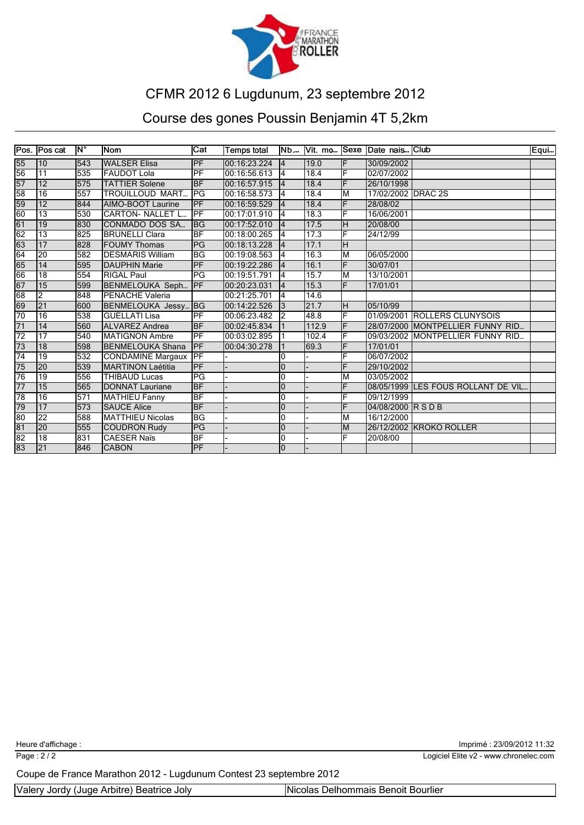

## Course des gones Poussin Benjamin 4T 5,2km

|                 | Pos. Pos cat    | ĪN° | <b>INom</b>              | $\overline{\text{Cat}}$  | <b>Temps total</b> |                |       |    | Nb Vit. mo Sexe Date nais Club |                                    | Equ |
|-----------------|-----------------|-----|--------------------------|--------------------------|--------------------|----------------|-------|----|--------------------------------|------------------------------------|-----|
| 55              | 110             | 543 | <b>WALSER Elisa</b>      | PF                       | 100:16:23.224      | 14             | 19.0  | ΙF | 30/09/2002                     |                                    |     |
| 56              | $\overline{11}$ | 535 | <b>FAUDOT Lola</b>       | PF                       | 00:16:56.613       | 4              | 18.4  | ΙF | 02/07/2002                     |                                    |     |
| 57              | 12              | 575 | <b>TATTIER Solene</b>    | <b>BF</b>                | 00:16:57.915       | 14             | 18.4  | IF | 26/10/1998                     |                                    |     |
| 58              | 16              | 557 | <b>TROUILLOUD MART</b>   | PG                       | 00:16:58.573       | 4              | 18.4  | ĪМ | 17/02/2002 DRAC 2S             |                                    |     |
| 59              | 12              | 844 | AIMO-BOOT Laurine        | <b>PF</b>                | 00:16:59.529       | 4              | 18.4  | F  | 28/08/02                       |                                    |     |
| 60              | $\overline{13}$ | 530 | <b>ICARTON- NALLET L</b> | $\overline{\text{PF}}$   | 00:17:01.910       | 14             | 18.3  | F  | 16/06/2001                     |                                    |     |
| $\overline{61}$ | $\overline{19}$ | 830 | CONMADO DOS SA           | lBG                      | 00:17:52.010       | 14             | 17.5  | H  | 20/08/00                       |                                    |     |
| $\overline{62}$ | $\overline{13}$ | 825 | <b>BRUNELLI Clara</b>    | <b>BF</b>                | 00:18:00.265       | 14             | 17.3  | F  | 24/12/99                       |                                    |     |
| 63              | 17              | 828 | <b>IFOUMY Thomas</b>     | <b>PG</b>                | 00:18:13.228       | $\overline{4}$ | 17.1  | lн |                                |                                    |     |
| 64              | 20              | 582 | <b>IDESMARIS William</b> | <b>BG</b>                | 100:19:08.563      | 14             | 16.3  | ĪМ | 06/05/2000                     |                                    |     |
| 65              | 14              | 595 | <b>DAUPHIN Marie</b>     | <b>IPF</b>               | 00:19:22.286       | $\overline{4}$ | 16.1  | ΙF | 30/07/01                       |                                    |     |
| 66              | 18              | 554 | <b>RIGAL Paul</b>        | $\overline{\mathsf{PG}}$ | 00:19:51.791       | l4             | 15.7  | ĪМ | 13/10/2001                     |                                    |     |
| 67              | 15              | 599 | BENMELOUKA Seph          | PF                       | 00:20:23.031       | 4              | 15.3  | F  | 17/01/01                       |                                    |     |
| 68              | $\overline{2}$  | 848 | <b>PENACHE Valeria</b>   |                          | 00:21:25.701       | 4              | 14.6  |    |                                |                                    |     |
| 69              | $\overline{21}$ | 600 | BENMELOUKA Jessy BG      |                          | 00:14:22.526       | 3              | 21.7  | ĪН | 05/10/99                       |                                    |     |
| 70              | 16              | 538 | <b>IGUELLATI Lisa</b>    | IPF                      | 00:06:23.482       | 2              | 48.8  | IF |                                | 01/09/2001 ROLLERS CLUNYSOIS       |     |
| $\overline{71}$ | 14              | 560 | <b>ALVAREZ</b> Andrea    | <b>BF</b>                | 00:02:45.834       |                | 112.9 | IF |                                | 28/07/2000 MONTPELLIER FUNNY RID   |     |
| $\overline{72}$ | $\overline{17}$ | 540 | <b>IMATIGNON Ambre</b>   | IPF                      | 00:03:02.895       |                | 102.4 | IF |                                | 09/03/2002 MONTPELLIER FUNNY RID   |     |
| $\overline{73}$ | $\overline{18}$ | 598 | BENMELOUKA Shana         | <b>IPF</b>               | 00:04:30.278       |                | 69.3  | IF | 17/01/01                       |                                    |     |
| $\overline{74}$ | 19              | 532 | <b>CONDAMINE Margaux</b> | IPF                      |                    | 0              |       | F  | 06/07/2002                     |                                    |     |
| 75              | 20              | 539 | <b>MARTINON Laétitia</b> | PF                       |                    | 0              |       | F  | 29/10/2002                     |                                    |     |
| 76              | 19              | 556 | <b>THIBAUD Lucas</b>     | PG                       |                    | 0              |       | lм | 03/05/2002                     |                                    |     |
| 77              | 15              | 565 | <b>IDONNAT Lauriane</b>  | <b>BF</b>                |                    | $\mathbf{0}$   |       | F  |                                | 08/05/1999 LES FOUS ROLLANT DE VIL |     |
| 78              | 16              | 571 | <b>MATHIEU Fanny</b>     | <b>BF</b>                |                    | 10             |       | F  | 09/12/1999                     |                                    |     |
| 79              | 17              | 573 | <b>SAUCE Alice</b>       | <b>BF</b>                |                    | 0              |       | F  | 04/08/2000 RSDB                |                                    |     |
| 80              | $\overline{22}$ | 588 | <b>MATTHIEU Nicolas</b>  | <b>BG</b>                |                    | 0              |       | lм | 16/12/2000                     |                                    |     |
| 81              | 20              | 555 | <b>COUDRON Rudy</b>      | PG                       |                    | 0              |       | lм |                                | 26/12/2002 KROKO ROLLER            |     |
| $\overline{82}$ | $\overline{18}$ | 831 | <b>CAESER Naïs</b>       | <b>BF</b>                |                    | $\Omega$       |       | F  | 20/08/00                       |                                    |     |
| 83              | 21              | 846 | <b>CABON</b>             | <b>IPF</b>               |                    | l0             |       |    |                                |                                    |     |

Heure d'affichage : Imprimé : 23/09/2012 11:32

Logiciel Elite v2 - www.chronelec.com

Page : 2 / 2

Coupe de France Marathon 2012 - Lugdunum Contest 23 septembre 2012